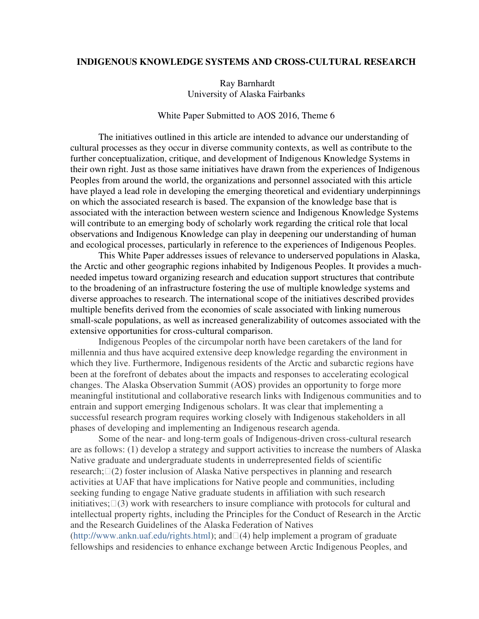#### **INDIGENOUS KNOWLEDGE SYSTEMS AND CROSS-CULTURAL RESEARCH**

Ray Barnhardt University of Alaska Fairbanks

#### White Paper Submitted to AOS 2016, Theme 6

The initiatives outlined in this article are intended to advance our understanding of cultural processes as they occur in diverse community contexts, as well as contribute to the further conceptualization, critique, and development of Indigenous Knowledge Systems in their own right. Just as those same initiatives have drawn from the experiences of Indigenous Peoples from around the world, the organizations and personnel associated with this article have played a lead role in developing the emerging theoretical and evidentiary underpinnings on which the associated research is based. The expansion of the knowledge base that is associated with the interaction between western science and Indigenous Knowledge Systems will contribute to an emerging body of scholarly work regarding the critical role that local observations and Indigenous Knowledge can play in deepening our understanding of human and ecological processes, particularly in reference to the experiences of Indigenous Peoples.

 This White Paper addresses issues of relevance to underserved populations in Alaska, the Arctic and other geographic regions inhabited by Indigenous Peoples. It provides a muchneeded impetus toward organizing research and education support structures that contribute to the broadening of an infrastructure fostering the use of multiple knowledge systems and diverse approaches to research. The international scope of the initiatives described provides multiple benefits derived from the economies of scale associated with linking numerous small-scale populations, as well as increased generalizability of outcomes associated with the extensive opportunities for cross-cultural comparison.

Indigenous Peoples of the circumpolar north have been caretakers of the land for millennia and thus have acquired extensive deep knowledge regarding the environment in which they live. Furthermore, Indigenous residents of the Arctic and subarctic regions have been at the forefront of debates about the impacts and responses to accelerating ecological changes. The Alaska Observation Summit (AOS) provides an opportunity to forge more meaningful institutional and collaborative research links with Indigenous communities and to entrain and support emerging Indigenous scholars. It was clear that implementing a successful research program requires working closely with Indigenous stakeholders in all phases of developing and implementing an Indigenous research agenda.

Some of the near- and long-term goals of Indigenous-driven cross-cultural research are as follows: (1) develop a strategy and support activities to increase the numbers of Alaska Native graduate and undergraduate students in underrepresented fields of scientific research; (2) foster inclusion of Alaska Native perspectives in planning and research activities at UAF that have implications for Native people and communities, including seeking funding to engage Native graduate students in affiliation with such research initiatives; (3) work with researchers to insure compliance with protocols for cultural and intellectual property rights, including the Principles for the Conduct of Research in the Arctic and the Research Guidelines of the Alaska Federation of Natives (http://www.ankn.uaf.edu/rights.html); and(4) help implement a program of graduate fellowships and residencies to enhance exchange between Arctic Indigenous Peoples, and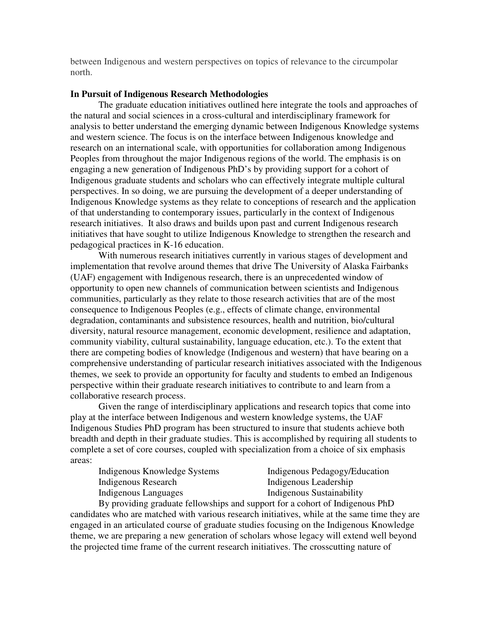between Indigenous and western perspectives on topics of relevance to the circumpolar north.

#### **In Pursuit of Indigenous Research Methodologies**

 The graduate education initiatives outlined here integrate the tools and approaches of the natural and social sciences in a cross-cultural and interdisciplinary framework for analysis to better understand the emerging dynamic between Indigenous Knowledge systems and western science. The focus is on the interface between Indigenous knowledge and research on an international scale, with opportunities for collaboration among Indigenous Peoples from throughout the major Indigenous regions of the world. The emphasis is on engaging a new generation of Indigenous PhD's by providing support for a cohort of Indigenous graduate students and scholars who can effectively integrate multiple cultural perspectives. In so doing, we are pursuing the development of a deeper understanding of Indigenous Knowledge systems as they relate to conceptions of research and the application of that understanding to contemporary issues, particularly in the context of Indigenous research initiatives. It also draws and builds upon past and current Indigenous research initiatives that have sought to utilize Indigenous Knowledge to strengthen the research and pedagogical practices in K-16 education.

 With numerous research initiatives currently in various stages of development and implementation that revolve around themes that drive The University of Alaska Fairbanks (UAF) engagement with Indigenous research, there is an unprecedented window of opportunity to open new channels of communication between scientists and Indigenous communities, particularly as they relate to those research activities that are of the most consequence to Indigenous Peoples (e.g., effects of climate change, environmental degradation, contaminants and subsistence resources, health and nutrition, bio/cultural diversity, natural resource management, economic development, resilience and adaptation, community viability, cultural sustainability, language education, etc.). To the extent that there are competing bodies of knowledge (Indigenous and western) that have bearing on a comprehensive understanding of particular research initiatives associated with the Indigenous themes, we seek to provide an opportunity for faculty and students to embed an Indigenous perspective within their graduate research initiatives to contribute to and learn from a collaborative research process.

 Given the range of interdisciplinary applications and research topics that come into play at the interface between Indigenous and western knowledge systems, the UAF Indigenous Studies PhD program has been structured to insure that students achieve both breadth and depth in their graduate studies. This is accomplished by requiring all students to complete a set of core courses, coupled with specialization from a choice of six emphasis areas:

| Indigenous Knowledge Systems |  |
|------------------------------|--|
| Indigenous Research          |  |
| Indigenous Languages         |  |

Indigenous Pedagogy/Education Indigenous Leadership Indigenous Sustainability

 By providing graduate fellowships and support for a cohort of Indigenous PhD candidates who are matched with various research initiatives, while at the same time they are engaged in an articulated course of graduate studies focusing on the Indigenous Knowledge theme, we are preparing a new generation of scholars whose legacy will extend well beyond the projected time frame of the current research initiatives. The crosscutting nature of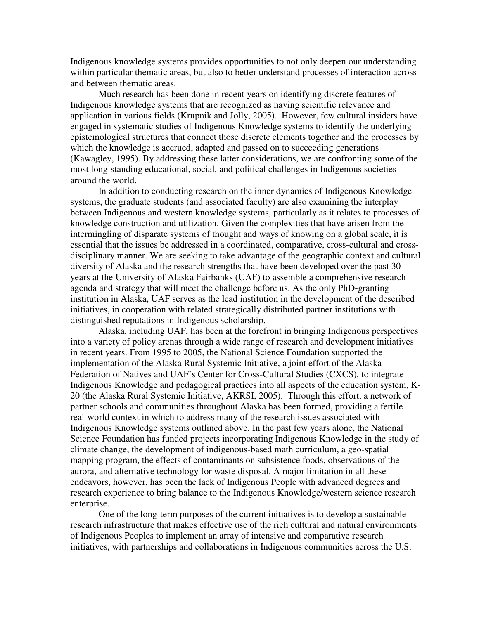Indigenous knowledge systems provides opportunities to not only deepen our understanding within particular thematic areas, but also to better understand processes of interaction across and between thematic areas.

 Much research has been done in recent years on identifying discrete features of Indigenous knowledge systems that are recognized as having scientific relevance and application in various fields (Krupnik and Jolly, 2005). However, few cultural insiders have engaged in systematic studies of Indigenous Knowledge systems to identify the underlying epistemological structures that connect those discrete elements together and the processes by which the knowledge is accrued, adapted and passed on to succeeding generations (Kawagley, 1995). By addressing these latter considerations, we are confronting some of the most long-standing educational, social, and political challenges in Indigenous societies around the world.

 In addition to conducting research on the inner dynamics of Indigenous Knowledge systems, the graduate students (and associated faculty) are also examining the interplay between Indigenous and western knowledge systems, particularly as it relates to processes of knowledge construction and utilization. Given the complexities that have arisen from the intermingling of disparate systems of thought and ways of knowing on a global scale, it is essential that the issues be addressed in a coordinated, comparative, cross-cultural and crossdisciplinary manner. We are seeking to take advantage of the geographic context and cultural diversity of Alaska and the research strengths that have been developed over the past 30 years at the University of Alaska Fairbanks (UAF) to assemble a comprehensive research agenda and strategy that will meet the challenge before us. As the only PhD-granting institution in Alaska, UAF serves as the lead institution in the development of the described initiatives, in cooperation with related strategically distributed partner institutions with distinguished reputations in Indigenous scholarship.

 Alaska, including UAF, has been at the forefront in bringing Indigenous perspectives into a variety of policy arenas through a wide range of research and development initiatives in recent years. From 1995 to 2005, the National Science Foundation supported the implementation of the Alaska Rural Systemic Initiative, a joint effort of the Alaska Federation of Natives and UAF's Center for Cross-Cultural Studies (CXCS), to integrate Indigenous Knowledge and pedagogical practices into all aspects of the education system, K-20 (the Alaska Rural Systemic Initiative, AKRSI, 2005). Through this effort, a network of partner schools and communities throughout Alaska has been formed, providing a fertile real-world context in which to address many of the research issues associated with Indigenous Knowledge systems outlined above. In the past few years alone, the National Science Foundation has funded projects incorporating Indigenous Knowledge in the study of climate change, the development of indigenous-based math curriculum, a geo-spatial mapping program, the effects of contaminants on subsistence foods, observations of the aurora, and alternative technology for waste disposal. A major limitation in all these endeavors, however, has been the lack of Indigenous People with advanced degrees and research experience to bring balance to the Indigenous Knowledge/western science research enterprise.

 One of the long-term purposes of the current initiatives is to develop a sustainable research infrastructure that makes effective use of the rich cultural and natural environments of Indigenous Peoples to implement an array of intensive and comparative research initiatives, with partnerships and collaborations in Indigenous communities across the U.S.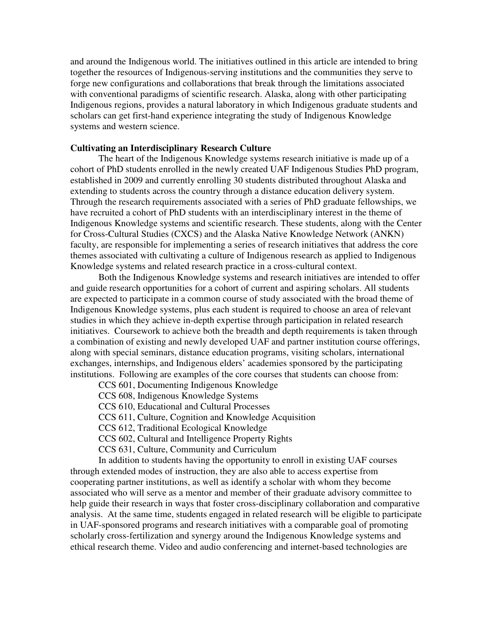and around the Indigenous world. The initiatives outlined in this article are intended to bring together the resources of Indigenous-serving institutions and the communities they serve to forge new configurations and collaborations that break through the limitations associated with conventional paradigms of scientific research. Alaska, along with other participating Indigenous regions, provides a natural laboratory in which Indigenous graduate students and scholars can get first-hand experience integrating the study of Indigenous Knowledge systems and western science.

#### **Cultivating an Interdisciplinary Research Culture**

The heart of the Indigenous Knowledge systems research initiative is made up of a cohort of PhD students enrolled in the newly created UAF Indigenous Studies PhD program, established in 2009 and currently enrolling 30 students distributed throughout Alaska and extending to students across the country through a distance education delivery system. Through the research requirements associated with a series of PhD graduate fellowships, we have recruited a cohort of PhD students with an interdisciplinary interest in the theme of Indigenous Knowledge systems and scientific research. These students, along with the Center for Cross-Cultural Studies (CXCS) and the Alaska Native Knowledge Network (ANKN) faculty, are responsible for implementing a series of research initiatives that address the core themes associated with cultivating a culture of Indigenous research as applied to Indigenous Knowledge systems and related research practice in a cross-cultural context.

 Both the Indigenous Knowledge systems and research initiatives are intended to offer and guide research opportunities for a cohort of current and aspiring scholars. All students are expected to participate in a common course of study associated with the broad theme of Indigenous Knowledge systems, plus each student is required to choose an area of relevant studies in which they achieve in-depth expertise through participation in related research initiatives. Coursework to achieve both the breadth and depth requirements is taken through a combination of existing and newly developed UAF and partner institution course offerings, along with special seminars, distance education programs, visiting scholars, international exchanges, internships, and Indigenous elders' academies sponsored by the participating institutions. Following are examples of the core courses that students can choose from:

CCS 601, Documenting Indigenous Knowledge

CCS 608, Indigenous Knowledge Systems

CCS 610, Educational and Cultural Processes

CCS 611, Culture, Cognition and Knowledge Acquisition

CCS 612, Traditional Ecological Knowledge

CCS 602, Cultural and Intelligence Property Rights

CCS 631, Culture, Community and Curriculum

 In addition to students having the opportunity to enroll in existing UAF courses through extended modes of instruction, they are also able to access expertise from cooperating partner institutions, as well as identify a scholar with whom they become associated who will serve as a mentor and member of their graduate advisory committee to help guide their research in ways that foster cross-disciplinary collaboration and comparative analysis. At the same time, students engaged in related research will be eligible to participate in UAF-sponsored programs and research initiatives with a comparable goal of promoting scholarly cross-fertilization and synergy around the Indigenous Knowledge systems and ethical research theme. Video and audio conferencing and internet-based technologies are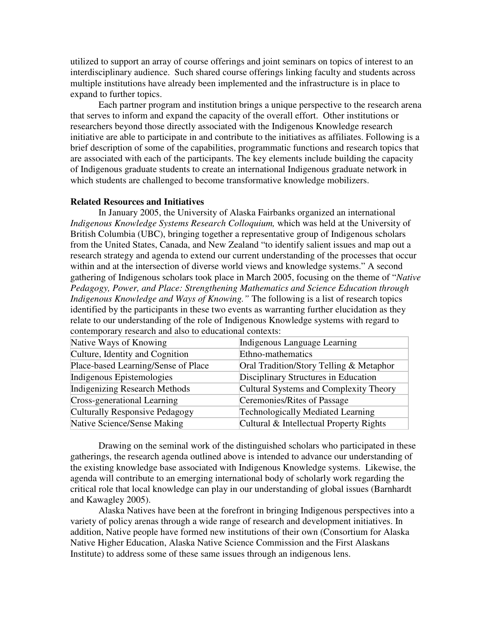utilized to support an array of course offerings and joint seminars on topics of interest to an interdisciplinary audience. Such shared course offerings linking faculty and students across multiple institutions have already been implemented and the infrastructure is in place to expand to further topics.

 Each partner program and institution brings a unique perspective to the research arena that serves to inform and expand the capacity of the overall effort. Other institutions or researchers beyond those directly associated with the Indigenous Knowledge research initiative are able to participate in and contribute to the initiatives as affiliates. Following is a brief description of some of the capabilities, programmatic functions and research topics that are associated with each of the participants. The key elements include building the capacity of Indigenous graduate students to create an international Indigenous graduate network in which students are challenged to become transformative knowledge mobilizers.

#### **Related Resources and Initiatives**

In January 2005, the University of Alaska Fairbanks organized an international *Indigenous Knowledge Systems Research Colloquium,* which was held at the University of British Columbia (UBC), bringing together a representative group of Indigenous scholars from the United States, Canada, and New Zealand "to identify salient issues and map out a research strategy and agenda to extend our current understanding of the processes that occur within and at the intersection of diverse world views and knowledge systems." A second gathering of Indigenous scholars took place in March 2005, focusing on the theme of "*Native Pedagogy, Power, and Place: Strengthening Mathematics and Science Education through Indigenous Knowledge and Ways of Knowing."* The following is a list of research topics identified by the participants in these two events as warranting further elucidation as they relate to our understanding of the role of Indigenous Knowledge systems with regard to contemporary research and also to educational contexts:

| Native Ways of Knowing              | Indigenous Language Learning             |
|-------------------------------------|------------------------------------------|
| Culture, Identity and Cognition     | Ethno-mathematics                        |
| Place-based Learning/Sense of Place | Oral Tradition/Story Telling & Metaphor  |
| Indigenous Epistemologies           | Disciplinary Structures in Education     |
| Indigenizing Research Methods       | Cultural Systems and Complexity Theory   |
| Cross-generational Learning         | Ceremonies/Rites of Passage              |
| Culturally Responsive Pedagogy      | <b>Technologically Mediated Learning</b> |
| Native Science/Sense Making         | Cultural & Intellectual Property Rights  |

 Drawing on the seminal work of the distinguished scholars who participated in these gatherings, the research agenda outlined above is intended to advance our understanding of the existing knowledge base associated with Indigenous Knowledge systems. Likewise, the agenda will contribute to an emerging international body of scholarly work regarding the critical role that local knowledge can play in our understanding of global issues (Barnhardt and Kawagley 2005).

 Alaska Natives have been at the forefront in bringing Indigenous perspectives into a variety of policy arenas through a wide range of research and development initiatives. In addition, Native people have formed new institutions of their own (Consortium for Alaska Native Higher Education, Alaska Native Science Commission and the First Alaskans Institute) to address some of these same issues through an indigenous lens.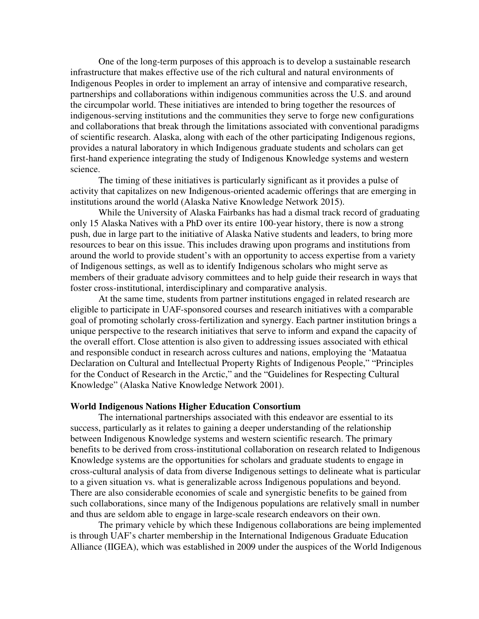One of the long-term purposes of this approach is to develop a sustainable research infrastructure that makes effective use of the rich cultural and natural environments of Indigenous Peoples in order to implement an array of intensive and comparative research, partnerships and collaborations within indigenous communities across the U.S. and around the circumpolar world. These initiatives are intended to bring together the resources of indigenous-serving institutions and the communities they serve to forge new configurations and collaborations that break through the limitations associated with conventional paradigms of scientific research. Alaska, along with each of the other participating Indigenous regions, provides a natural laboratory in which Indigenous graduate students and scholars can get first-hand experience integrating the study of Indigenous Knowledge systems and western science.

 The timing of these initiatives is particularly significant as it provides a pulse of activity that capitalizes on new Indigenous-oriented academic offerings that are emerging in institutions around the world (Alaska Native Knowledge Network 2015).

 While the University of Alaska Fairbanks has had a dismal track record of graduating only 15 Alaska Natives with a PhD over its entire 100-year history, there is now a strong push, due in large part to the initiative of Alaska Native students and leaders, to bring more resources to bear on this issue. This includes drawing upon programs and institutions from around the world to provide student's with an opportunity to access expertise from a variety of Indigenous settings, as well as to identify Indigenous scholars who might serve as members of their graduate advisory committees and to help guide their research in ways that foster cross-institutional, interdisciplinary and comparative analysis.

 At the same time, students from partner institutions engaged in related research are eligible to participate in UAF-sponsored courses and research initiatives with a comparable goal of promoting scholarly cross-fertilization and synergy. Each partner institution brings a unique perspective to the research initiatives that serve to inform and expand the capacity of the overall effort. Close attention is also given to addressing issues associated with ethical and responsible conduct in research across cultures and nations, employing the 'Mataatua Declaration on Cultural and Intellectual Property Rights of Indigenous People," "Principles for the Conduct of Research in the Arctic," and the "Guidelines for Respecting Cultural Knowledge" (Alaska Native Knowledge Network 2001).

#### **World Indigenous Nations Higher Education Consortium**

 The international partnerships associated with this endeavor are essential to its success, particularly as it relates to gaining a deeper understanding of the relationship between Indigenous Knowledge systems and western scientific research. The primary benefits to be derived from cross-institutional collaboration on research related to Indigenous Knowledge systems are the opportunities for scholars and graduate students to engage in cross-cultural analysis of data from diverse Indigenous settings to delineate what is particular to a given situation vs. what is generalizable across Indigenous populations and beyond. There are also considerable economies of scale and synergistic benefits to be gained from such collaborations, since many of the Indigenous populations are relatively small in number and thus are seldom able to engage in large-scale research endeavors on their own.

 The primary vehicle by which these Indigenous collaborations are being implemented is through UAF's charter membership in the International Indigenous Graduate Education Alliance (IIGEA), which was established in 2009 under the auspices of the World Indigenous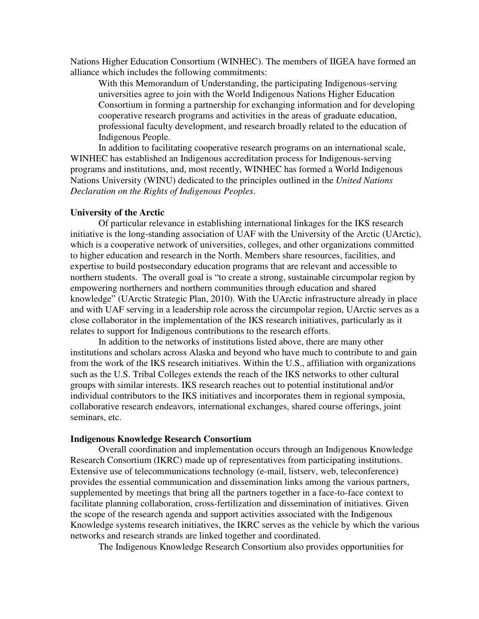Nations Higher Education Consortium (WINHEC). The members of IIGEA have formed an alliance which includes the following commitments:

With this Memorandum of Understanding, the participating Indigenous-serving universities agree to join with the World Indigenous Nations Higher Education Consortium in forming a partnership for exchanging information and for developing cooperative research programs and activities in the areas of graduate education, professional faculty development, and research broadly related to the education of Indigenous People.

 In addition to facilitating cooperative research programs on an international scale, WINHEC has established an Indigenous accreditation process for Indigenous-serving programs and institutions, and, most recently, WINHEC has formed a World Indigenous Nations University (WINU) dedicated to the principles outlined in the *United Nations Declaration on the Rights of Indigenous Peoples*.

#### **University of the Arctic**

 Of particular relevance in establishing international linkages for the IKS research initiative is the long-standing association of UAF with the University of the Arctic (UArctic), which is a cooperative network of universities, colleges, and other organizations committed to higher education and research in the North. Members share resources, facilities, and expertise to build postsecondary education programs that are relevant and accessible to northern students. The overall goal is "to create a strong, sustainable circumpolar region by empowering northerners and northern communities through education and shared knowledge" (UArctic Strategic Plan, 2010). With the UArctic infrastructure already in place and with UAF serving in a leadership role across the circumpolar region, UArctic serves as a close collaborator in the implementation of the IKS research initiatives, particularly as it relates to support for Indigenous contributions to the research efforts.

 In addition to the networks of institutions listed above, there are many other institutions and scholars across Alaska and beyond who have much to contribute to and gain from the work of the IKS research initiatives. Within the U.S., affiliation with organizations such as the U.S. Tribal Colleges extends the reach of the IKS networks to other cultural groups with similar interests. IKS research reaches out to potential institutional and/or individual contributors to the IKS initiatives and incorporates them in regional symposia, collaborative research endeavors, international exchanges, shared course offerings, joint seminars, etc.

#### **Indigenous Knowledge Research Consortium**

Overall coordination and implementation occurs through an Indigenous Knowledge Research Consortium (IKRC) made up of representatives from participating institutions. Extensive use of telecommunications technology (e-mail, listserv, web, teleconference) provides the essential communication and dissemination links among the various partners, supplemented by meetings that bring all the partners together in a face-to-face context to facilitate planning collaboration, cross-fertilization and dissemination of initiatives. Given the scope of the research agenda and support activities associated with the Indigenous Knowledge systems research initiatives, the IKRC serves as the vehicle by which the various networks and research strands are linked together and coordinated.

The Indigenous Knowledge Research Consortium also provides opportunities for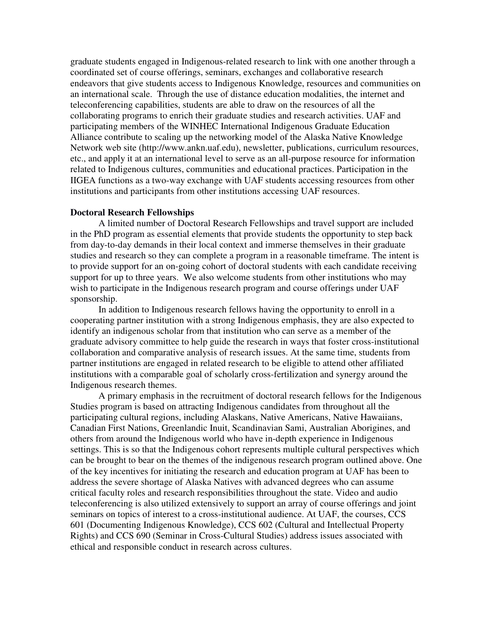graduate students engaged in Indigenous-related research to link with one another through a coordinated set of course offerings, seminars, exchanges and collaborative research endeavors that give students access to Indigenous Knowledge, resources and communities on an international scale. Through the use of distance education modalities, the internet and teleconferencing capabilities, students are able to draw on the resources of all the collaborating programs to enrich their graduate studies and research activities. UAF and participating members of the WINHEC International Indigenous Graduate Education Alliance contribute to scaling up the networking model of the Alaska Native Knowledge Network web site (http://www.ankn.uaf.edu), newsletter, publications, curriculum resources, etc., and apply it at an international level to serve as an all-purpose resource for information related to Indigenous cultures, communities and educational practices. Participation in the IIGEA functions as a two-way exchange with UAF students accessing resources from other institutions and participants from other institutions accessing UAF resources.

#### **Doctoral Research Fellowships**

A limited number of Doctoral Research Fellowships and travel support are included in the PhD program as essential elements that provide students the opportunity to step back from day-to-day demands in their local context and immerse themselves in their graduate studies and research so they can complete a program in a reasonable timeframe. The intent is to provide support for an on-going cohort of doctoral students with each candidate receiving support for up to three years. We also welcome students from other institutions who may wish to participate in the Indigenous research program and course offerings under UAF sponsorship.

In addition to Indigenous research fellows having the opportunity to enroll in a cooperating partner institution with a strong Indigenous emphasis, they are also expected to identify an indigenous scholar from that institution who can serve as a member of the graduate advisory committee to help guide the research in ways that foster cross-institutional collaboration and comparative analysis of research issues. At the same time, students from partner institutions are engaged in related research to be eligible to attend other affiliated institutions with a comparable goal of scholarly cross-fertilization and synergy around the Indigenous research themes.

 A primary emphasis in the recruitment of doctoral research fellows for the Indigenous Studies program is based on attracting Indigenous candidates from throughout all the participating cultural regions, including Alaskans, Native Americans, Native Hawaiians, Canadian First Nations, Greenlandic Inuit, Scandinavian Sami, Australian Aborigines, and others from around the Indigenous world who have in-depth experience in Indigenous settings. This is so that the Indigenous cohort represents multiple cultural perspectives which can be brought to bear on the themes of the indigenous research program outlined above. One of the key incentives for initiating the research and education program at UAF has been to address the severe shortage of Alaska Natives with advanced degrees who can assume critical faculty roles and research responsibilities throughout the state. Video and audio teleconferencing is also utilized extensively to support an array of course offerings and joint seminars on topics of interest to a cross-institutional audience. At UAF, the courses, CCS 601 (Documenting Indigenous Knowledge), CCS 602 (Cultural and Intellectual Property Rights) and CCS 690 (Seminar in Cross-Cultural Studies) address issues associated with ethical and responsible conduct in research across cultures.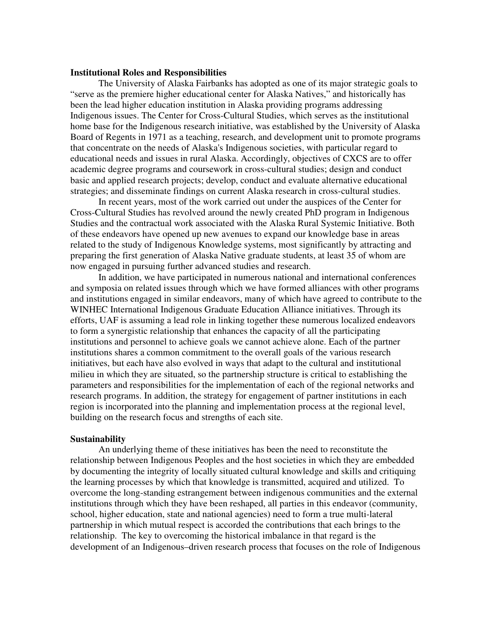#### **Institutional Roles and Responsibilities**

 The University of Alaska Fairbanks has adopted as one of its major strategic goals to "serve as the premiere higher educational center for Alaska Natives," and historically has been the lead higher education institution in Alaska providing programs addressing Indigenous issues. The Center for Cross-Cultural Studies, which serves as the institutional home base for the Indigenous research initiative, was established by the University of Alaska Board of Regents in 1971 as a teaching, research, and development unit to promote programs that concentrate on the needs of Alaska's Indigenous societies, with particular regard to educational needs and issues in rural Alaska. Accordingly, objectives of CXCS are to offer academic degree programs and coursework in cross-cultural studies; design and conduct basic and applied research projects; develop, conduct and evaluate alternative educational strategies; and disseminate findings on current Alaska research in cross-cultural studies.

 In recent years, most of the work carried out under the auspices of the Center for Cross-Cultural Studies has revolved around the newly created PhD program in Indigenous Studies and the contractual work associated with the Alaska Rural Systemic Initiative. Both of these endeavors have opened up new avenues to expand our knowledge base in areas related to the study of Indigenous Knowledge systems, most significantly by attracting and preparing the first generation of Alaska Native graduate students, at least 35 of whom are now engaged in pursuing further advanced studies and research.

In addition, we have participated in numerous national and international conferences and symposia on related issues through which we have formed alliances with other programs and institutions engaged in similar endeavors, many of which have agreed to contribute to the WINHEC International Indigenous Graduate Education Alliance initiatives. Through its efforts, UAF is assuming a lead role in linking together these numerous localized endeavors to form a synergistic relationship that enhances the capacity of all the participating institutions and personnel to achieve goals we cannot achieve alone. Each of the partner institutions shares a common commitment to the overall goals of the various research initiatives, but each have also evolved in ways that adapt to the cultural and institutional milieu in which they are situated, so the partnership structure is critical to establishing the parameters and responsibilities for the implementation of each of the regional networks and research programs. In addition, the strategy for engagement of partner institutions in each region is incorporated into the planning and implementation process at the regional level, building on the research focus and strengths of each site.

#### **Sustainability**

An underlying theme of these initiatives has been the need to reconstitute the relationship between Indigenous Peoples and the host societies in which they are embedded by documenting the integrity of locally situated cultural knowledge and skills and critiquing the learning processes by which that knowledge is transmitted, acquired and utilized. To overcome the long-standing estrangement between indigenous communities and the external institutions through which they have been reshaped, all parties in this endeavor (community, school, higher education, state and national agencies) need to form a true multi-lateral partnership in which mutual respect is accorded the contributions that each brings to the relationship. The key to overcoming the historical imbalance in that regard is the development of an Indigenous–driven research process that focuses on the role of Indigenous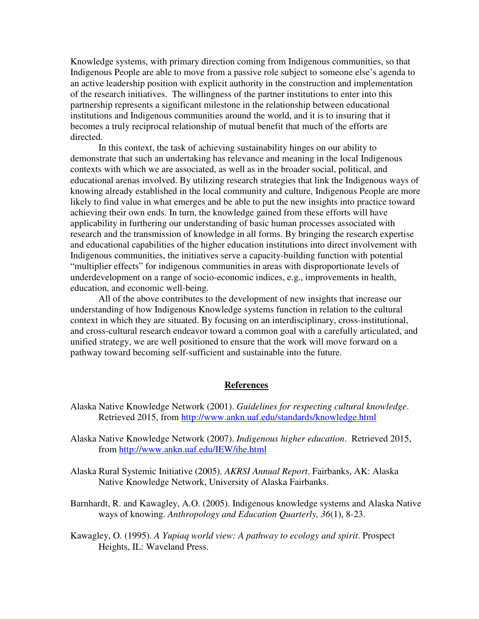Knowledge systems, with primary direction coming from Indigenous communities, so that Indigenous People are able to move from a passive role subject to someone else's agenda to an active leadership position with explicit authority in the construction and implementation of the research initiatives. The willingness of the partner institutions to enter into this partnership represents a significant milestone in the relationship between educational institutions and Indigenous communities around the world, and it is to insuring that it becomes a truly reciprocal relationship of mutual benefit that much of the efforts are directed.

 In this context, the task of achieving sustainability hinges on our ability to demonstrate that such an undertaking has relevance and meaning in the local Indigenous contexts with which we are associated, as well as in the broader social, political, and educational arenas involved. By utilizing research strategies that link the Indigenous ways of knowing already established in the local community and culture, Indigenous People are more likely to find value in what emerges and be able to put the new insights into practice toward achieving their own ends. In turn, the knowledge gained from these efforts will have applicability in furthering our understanding of basic human processes associated with research and the transmission of knowledge in all forms. By bringing the research expertise and educational capabilities of the higher education institutions into direct involvement with Indigenous communities, the initiatives serve a capacity-building function with potential "multiplier effects" for indigenous communities in areas with disproportionate levels of underdevelopment on a range of socio-economic indices, e.g., improvements in health, education, and economic well-being.

All of the above contributes to the development of new insights that increase our understanding of how Indigenous Knowledge systems function in relation to the cultural context in which they are situated. By focusing on an interdisciplinary, cross-institutional, and cross-cultural research endeavor toward a common goal with a carefully articulated, and unified strategy, we are well positioned to ensure that the work will move forward on a pathway toward becoming self-sufficient and sustainable into the future.

### **References**

- Alaska Native Knowledge Network (2001). *Guidelines for respecting cultural knowledge*. Retrieved 2015, from http://www.ankn.uaf.edu/standards/knowledge.html
- Alaska Native Knowledge Network (2007). *Indigenous higher education*. Retrieved 2015, from http://www.ankn.uaf.edu/IEW/ihe.html
- Alaska Rural Systemic Initiative (2005). *AKRSI Annual Report*. Fairbanks, AK: Alaska Native Knowledge Network, University of Alaska Fairbanks.
- Barnhardt, R. and Kawagley, A.O. (2005). Indigenous knowledge systems and Alaska Native ways of knowing. *Anthropology and Education Quarterly, 36*(1), 8-23.
- Kawagley, O. (1995). *A Yupiaq world view: A pathway to ecology and spirit*. Prospect Heights, IL: Waveland Press.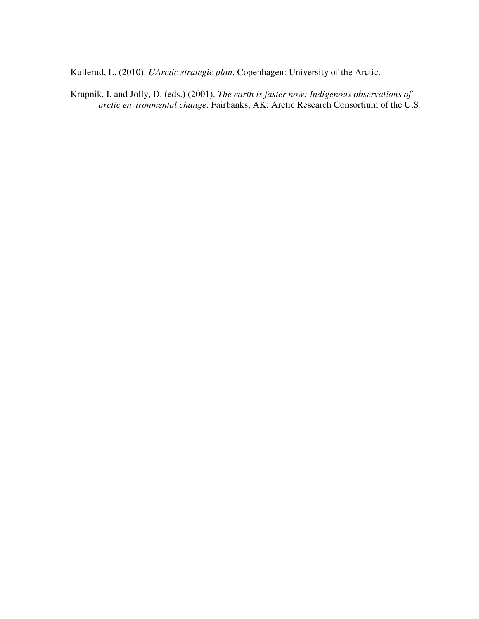Kullerud, L. (2010). *UArctic strategic plan*. Copenhagen: University of the Arctic.

Krupnik, I. and Jolly, D. (eds.) (2001). *The earth is faster now: Indigenous observations of arctic environmental change*. Fairbanks, AK: Arctic Research Consortium of the U.S.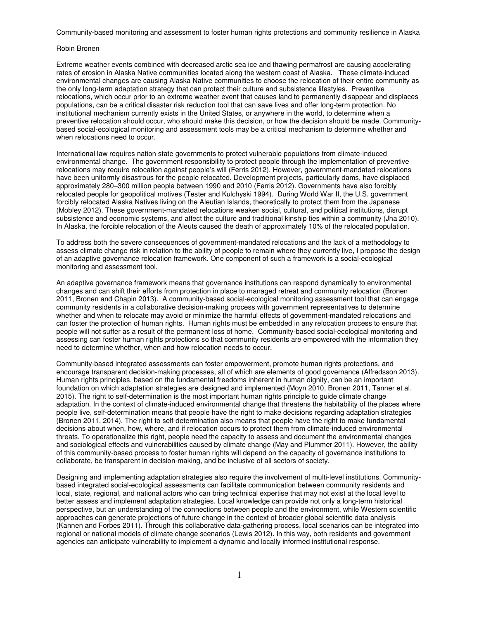Community-based monitoring and assessment to foster human rights protections and community resilience in Alaska

#### Robin Bronen

Extreme weather events combined with decreased arctic sea ice and thawing permafrost are causing accelerating rates of erosion in Alaska Native communities located along the western coast of Alaska. These climate-induced environmental changes are causing Alaska Native communities to choose the relocation of their entire community as the only long-term adaptation strategy that can protect their culture and subsistence lifestyles. Preventive relocations, which occur prior to an extreme weather event that causes land to permanently disappear and displaces populations, can be a critical disaster risk reduction tool that can save lives and offer long-term protection. No institutional mechanism currently exists in the United States, or anywhere in the world, to determine when a preventive relocation should occur, who should make this decision, or how the decision should be made. Communitybased social-ecological monitoring and assessment tools may be a critical mechanism to determine whether and when relocations need to occur.

International law requires nation state governments to protect vulnerable populations from climate-induced environmental change. The government responsibility to protect people through the implementation of preventive relocations may require relocation against people's will (Ferris 2012). However, government-mandated relocations have been uniformly disastrous for the people relocated. Development projects, particularly dams, have displaced approximately 280–300 million people between 1990 and 2010 (Ferris 2012). Governments have also forcibly relocated people for geopolitical motives (Tester and Kulchyski 1994). During World War II, the U.S. government forcibly relocated Alaska Natives living on the Aleutian Islands, theoretically to protect them from the Japanese (Mobley 2012). These government-mandated relocations weaken social, cultural, and political institutions, disrupt subsistence and economic systems, and affect the culture and traditional kinship ties within a community (Jha 2010). In Alaska, the forcible relocation of the Aleuts caused the death of approximately 10% of the relocated population.

To address both the severe consequences of government-mandated relocations and the lack of a methodology to assess climate change risk in relation to the ability of people to remain where they currently live, I propose the design of an adaptive governance relocation framework. One component of such a framework is a social-ecological monitoring and assessment tool.

An adaptive governance framework means that governance institutions can respond dynamically to environmental changes and can shift their efforts from protection in place to managed retreat and community relocation (Bronen 2011, Bronen and Chapin 2013). A community-based social-ecological monitoring assessment tool that can engage community residents in a collaborative decision-making process with government representatives to determine whether and when to relocate may avoid or minimize the harmful effects of government-mandated relocations and can foster the protection of human rights. Human rights must be embedded in any relocation process to ensure that people will not suffer as a result of the permanent loss of home. Community-based social-ecological monitoring and assessing can foster human rights protections so that community residents are empowered with the information they need to determine whether, when and how relocation needs to occur.

Community-based integrated assessments can foster empowerment, promote human rights protections, and encourage transparent decision-making processes, all of which are elements of good governance (Alfredsson 2013). Human rights principles, based on the fundamental freedoms inherent in human dignity, can be an important foundation on which adaptation strategies are designed and implemented (Moyn 2010, Bronen 2011, Tanner et al. 2015). The right to self-determination is the most important human rights principle to guide climate change adaptation. In the context of climate-induced environmental change that threatens the habitability of the places where people live, self-determination means that people have the right to make decisions regarding adaptation strategies (Bronen 2011, 2014). The right to self-determination also means that people have the right to make fundamental decisions about when, how, where, and if relocation occurs to protect them from climate-induced environmental threats. To operationalize this right, people need the capacity to assess and document the environmental changes and sociological effects and vulnerabilities caused by climate change (May and Plummer 2011). However, the ability of this community-based process to foster human rights will depend on the capacity of governance institutions to collaborate, be transparent in decision-making, and be inclusive of all sectors of society.

Designing and implementing adaptation strategies also require the involvement of multi-level institutions. Communitybased integrated social-ecological assessments can facilitate communication between community residents and local, state, regional, and national actors who can bring technical expertise that may not exist at the local level to better assess and implement adaptation strategies. Local knowledge can provide not only a long-term historical perspective, but an understanding of the connections between people and the environment, while Western scientific approaches can generate projections of future change in the context of broader global scientific data analysis (Kannen and Forbes 2011). Through this collaborative data-gathering process, local scenarios can be integrated into regional or national models of climate change scenarios (Lewis 2012). In this way, both residents and government agencies can anticipate vulnerability to implement a dynamic and locally informed institutional response.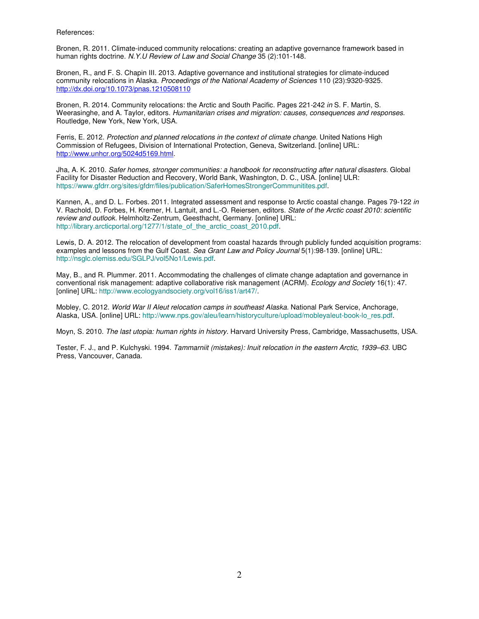References:

Bronen, R. 2011. Climate-induced community relocations: creating an adaptive governance framework based in human rights doctrine. N.Y.U Review of Law and Social Change 35 (2):101-148.

Bronen, R., and F. S. Chapin III. 2013. Adaptive governance and institutional strategies for climate-induced community relocations in Alaska. Proceedings of the National Academy of Sciences 110 (23):9320-9325. http://dx.doi.org/10.1073/pnas.1210508110

Bronen, R. 2014. Community relocations: the Arctic and South Pacific. Pages 221-242 in S. F. Martin, S. Weerasinghe, and A. Taylor, editors. Humanitarian crises and migration: causes, consequences and responses. Routledge, New York, New York, USA.

Ferris, E. 2012. Protection and planned relocations in the context of climate change. United Nations High Commission of Refugees, Division of International Protection, Geneva, Switzerland. [online] URL: http://www.unhcr.org/5024d5169.html.

Jha, A. K. 2010. Safer homes, stronger communities: a handbook for reconstructing after natural disasters. Global Facility for Disaster Reduction and Recovery, World Bank, Washington, D. C., USA. [online] ULR: https://www.gfdrr.org/sites/gfdrr/files/publication/SaferHomesStrongerCommunitites.pdf.

Kannen, A., and D. L. Forbes. 2011. Integrated assessment and response to Arctic coastal change. Pages 79-122 in V. Rachold, D. Forbes, H. Kremer, H. Lantuit, and L.-O. Reiersen, editors. State of the Arctic coast 2010: scientific review and outlook. Helmholtz-Zentrum, Geesthacht, Germany. [online] URL: http://library.arcticportal.org/1277/1/state\_of\_the\_arctic\_coast\_2010.pdf.

Lewis, D. A. 2012. The relocation of development from coastal hazards through publicly funded acquisition programs: examples and lessons from the Gulf Coast. Sea Grant Law and Policy Journal 5(1):98-139. [online] URL: http://nsglc.olemiss.edu/SGLPJ/vol5No1/Lewis.pdf.

May, B., and R. Plummer. 2011. Accommodating the challenges of climate change adaptation and governance in conventional risk management: adaptive collaborative risk management (ACRM). Ecology and Society 16(1): 47. [online] URL: http://www.ecologyandsociety.org/vol16/iss1/art47/.

Mobley, C. 2012. World War II Aleut relocation camps in southeast Alaska. National Park Service, Anchorage, Alaska, USA. [online] URL: http://www.nps.gov/aleu/learn/historyculture/upload/mobleyaleut-book-lo\_res.pdf.

Moyn, S. 2010. The last utopia: human rights in history. Harvard University Press, Cambridge, Massachusetts, USA.

Tester, F. J., and P. Kulchyski. 1994. Tammarniit (mistakes): Inuit relocation in the eastern Arctic, 1939–63. UBC Press, Vancouver, Canada.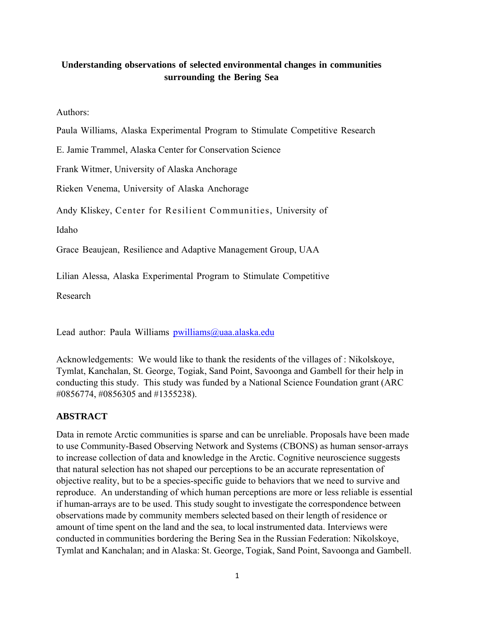# **Understanding observations of selected environmental changes in communities surrounding the Bering Sea**

Authors:

Paula Williams, Alaska Experimental Program to Stimulate Competitive Research

E. Jamie Trammel, Alaska Center for Conservation Science

Frank Witmer, University of Alaska Anchorage

Rieken Venema, University of Alaska Anchorage

Andy Kliskey, Center for Resilient Communities, University of

Idaho

Grace Beaujean, Resilience and Adaptive Management Group, UAA

Lilian Alessa, Alaska Experimental Program to Stimulate Competitive

Research

Lead author: Paula Williams [pwilliams@uaa.alaska.edu](mailto:pwilliams@uaa.alaska.edu)

Acknowledgements: We would like to thank the residents of the villages of : Nikolskoye, Tymlat, Kanchalan, St. George, Togiak, Sand Point, Savoonga and Gambell for their help in conducting this study. This study was funded by a National Science Foundation grant (ARC #0856774, #0856305 and #1355238).

## **ABSTRACT**

Data in remote Arctic communities is sparse and can be unreliable. Proposals have been made to use Community-Based Observing Network and Systems (CBONS) as human sensor-arrays to increase collection of data and knowledge in the Arctic. Cognitive neuroscience suggests that natural selection has not shaped our perceptions to be an accurate representation of objective reality, but to be a species-specific guide to behaviors that we need to survive and reproduce. An understanding of which human perceptions are more or less reliable is essential if human-arrays are to be used. This study sought to investigate the correspondence between observations made by community members selected based on their length of residence or amount of time spent on the land and the sea, to local instrumented data. Interviews were conducted in communities bordering the Bering Sea in the Russian Federation: Nikolskoye, Tymlat and Kanchalan; and in Alaska: St. George, Togiak, Sand Point, Savoonga and Gambell.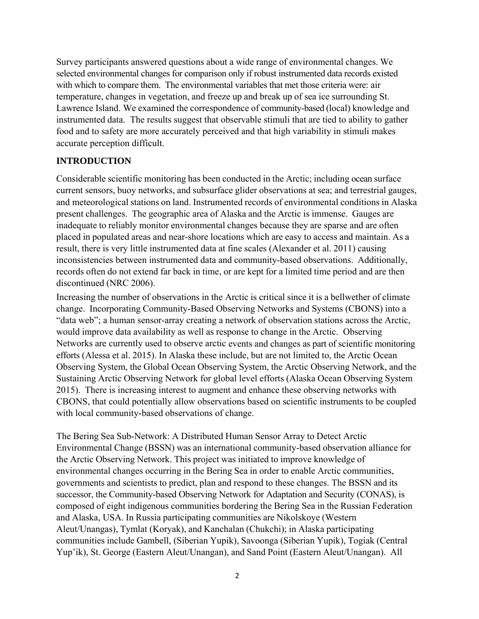Survey participants answered questions about a wide range of environmental changes. We selected environmental changes for comparison only if robust instrumented data records existed with which to compare them. The environmental variables that met those criteria were: air temperature, changes in vegetation, and freeze up and break up of sea ice surrounding St. Lawrence Island. We examined the correspondence of community-based (local) knowledge and instrumented data. The results suggest that observable stimuli that are tied to ability to gather food and to safety are more accurately perceived and that high variability in stimuli makes accurate perception difficult.

# **INTRODUCTION**

Considerable scientific monitoring has been conducted in the Arctic; including ocean surface current sensors, buoy networks, and subsurface glider observations at sea; and terrestrial gauges, and meteorological stations on land. Instrumented records of environmental conditions in Alaska present challenges. The geographic area of Alaska and the Arctic is immense. Gauges are inadequate to reliably monitor environmental changes because they are sparse and are often placed in populated areas and near-shore locations which are easy to access and maintain. As a result, there is very little instrumented data at fine scales (Alexander et al. 2011) causing inconsistencies between instrumented data and community-based observations. Additionally, records often do not extend far back in time, or are kept for a limited time period and are then discontinued (NRC 2006).

Increasing the number of observations in the Arctic is critical since it is a bellwether of climate change. Incorporating Community-Based Observing Networks and Systems (CBONS) into a "data web"; a human sensor-array creating a network of observation stations across the Arctic, would improve data availability as well as response to change in the Arctic. Observing Networks are currently used to observe arctic events and changes as part of scientific monitoring efforts (Alessa et al. 2015). In Alaska these include, but are not limited to, the Arctic Ocean Observing System, the Global Ocean Observing System, the Arctic Observing Network, and the Sustaining Arctic Observing Network for global level efforts (Alaska Ocean Observing System 2015). There is increasing interest to augment and enhance these observing networks with CBONS, that could potentially allow observations based on scientific instruments to be coupled with local community-based observations of change.

The Bering Sea Sub-Network: A Distributed Human Sensor Array to Detect Arctic Environmental Change (BSSN) was an international community-based observation alliance for the Arctic Observing Network. This project was initiated to improve knowledge of environmental changes occurring in the Bering Sea in order to enable Arctic communities, governments and scientists to predict, plan and respond to these changes. The BSSN and its successor, the Community-based Observing Network for Adaptation and Security (CONAS), is composed of eight indigenous communities bordering the Bering Sea in the Russian Federation and Alaska, USA. In Russia participating communities are Nikolskoye (Western Aleut/Unangas), Tymlat (Koryak), and Kanchalan (Chukchi); in Alaska participating communities include Gambell, (Siberian Yupik), Savoonga (Siberian Yupik), Togiak (Central Yup'ik), St. George (Eastern Aleut/Unangan), and Sand Point (Eastern Aleut/Unangan). All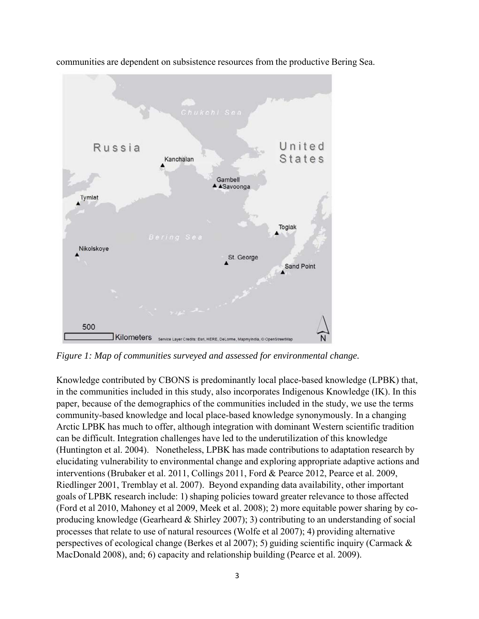

communities are dependent on subsistence resources from the productive Bering Sea.

*Figure 1: Map of communities surveyed and assessed for environmental change.*

Knowledge contributed by CBONS is predominantly local place-based knowledge (LPBK) that, in the communities included in this study, also incorporates Indigenous Knowledge (IK). In this paper, because of the demographics of the communities included in the study, we use the terms community-based knowledge and local place-based knowledge synonymously. In a changing Arctic LPBK has much to offer, although integration with dominant Western scientific tradition can be difficult. Integration challenges have led to the underutilization of this knowledge (Huntington et al. 2004). Nonetheless, LPBK has made contributions to adaptation research by elucidating vulnerability to environmental change and exploring appropriate adaptive actions and interventions (Brubaker et al. 2011, Collings 2011, Ford & Pearce 2012, Pearce et al. 2009, Riedlinger 2001, Tremblay et al. 2007). Beyond expanding data availability, other important goals of LPBK research include: 1) shaping policies toward greater relevance to those affected (Ford et al 2010, Mahoney et al 2009, Meek et al. 2008); 2) more equitable power sharing by coproducing knowledge (Gearheard & Shirley 2007); 3) contributing to an understanding of social processes that relate to use of natural resources (Wolfe et al 2007); 4) providing alternative perspectives of ecological change (Berkes et al 2007); 5) guiding scientific inquiry (Carmack & MacDonald 2008), and; 6) capacity and relationship building (Pearce et al. 2009).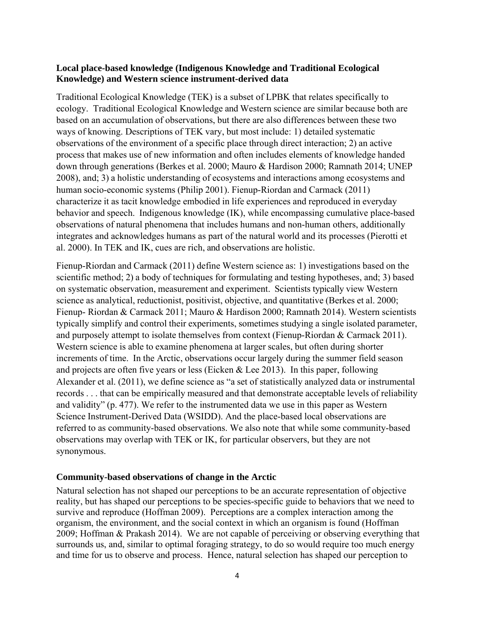### **Local place-based knowledge (Indigenous Knowledge and Traditional Ecological Knowledge) and Western science instrument-derived data**

Traditional Ecological Knowledge (TEK) is a subset of LPBK that relates specifically to ecology. Traditional Ecological Knowledge and Western science are similar because both are based on an accumulation of observations, but there are also differences between these two ways of knowing. Descriptions of TEK vary, but most include: 1) detailed systematic observations of the environment of a specific place through direct interaction; 2) an active process that makes use of new information and often includes elements of knowledge handed down through generations (Berkes et al. 2000; Mauro & Hardison 2000; Ramnath 2014; UNEP 2008), and; 3) a holistic understanding of ecosystems and interactions among ecosystems and human socio-economic systems (Philip 2001). Fienup-Riordan and Carmack (2011) characterize it as tacit knowledge embodied in life experiences and reproduced in everyday behavior and speech. Indigenous knowledge (IK), while encompassing cumulative place-based observations of natural phenomena that includes humans and non-human others, additionally integrates and acknowledges humans as part of the natural world and its processes (Pierotti et al. 2000). In TEK and IK, cues are rich, and observations are holistic.

Fienup-Riordan and Carmack (2011) define Western science as: 1) investigations based on the scientific method; 2) a body of techniques for formulating and testing hypotheses, and; 3) based on systematic observation, measurement and experiment. Scientists typically view Western science as analytical, reductionist, positivist, objective, and quantitative (Berkes et al. 2000; Fienup- Riordan & Carmack 2011; Mauro & Hardison 2000; Ramnath 2014). Western scientists typically simplify and control their experiments, sometimes studying a single isolated parameter, and purposely attempt to isolate themselves from context (Fienup-Riordan & Carmack 2011). Western science is able to examine phenomena at larger scales, but often during shorter increments of time. In the Arctic, observations occur largely during the summer field season and projects are often five years or less (Eicken & Lee 2013). In this paper, following Alexander et al. (2011), we define science as "a set of statistically analyzed data or instrumental records . . . that can be empirically measured and that demonstrate acceptable levels of reliability and validity" (p. 477). We refer to the instrumented data we use in this paper as Western Science Instrument-Derived Data (WSIDD). And the place-based local observations are referred to as community-based observations. We also note that while some community-based observations may overlap with TEK or IK, for particular observers, but they are not synonymous.

### **Community-based observations of change in the Arctic**

Natural selection has not shaped our perceptions to be an accurate representation of objective reality, but has shaped our perceptions to be species-specific guide to behaviors that we need to survive and reproduce (Hoffman 2009). Perceptions are a complex interaction among the organism, the environment, and the social context in which an organism is found (Hoffman 2009; Hoffman & Prakash 2014). We are not capable of perceiving or observing everything that surrounds us, and, similar to optimal foraging strategy, to do so would require too much energy and time for us to observe and process. Hence, natural selection has shaped our perception to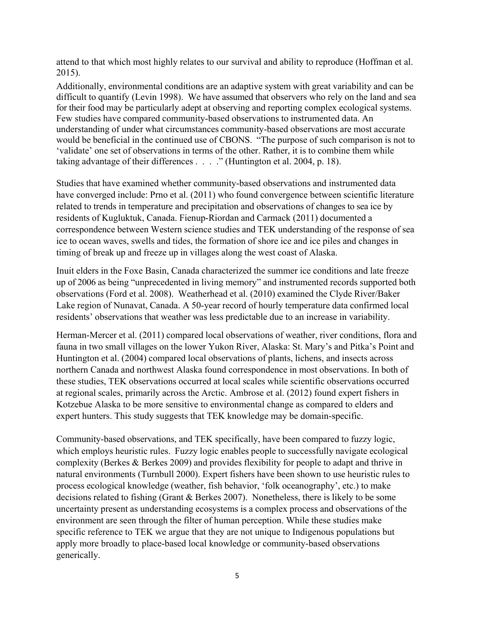attend to that which most highly relates to our survival and ability to reproduce (Hoffman et al. 2015).

Additionally, environmental conditions are an adaptive system with great variability and can be difficult to quantify (Levin 1998). We have assumed that observers who rely on the land and sea for their food may be particularly adept at observing and reporting complex ecological systems. Few studies have compared community-based observations to instrumented data. An understanding of under what circumstances community-based observations are most accurate would be beneficial in the continued use of CBONS. "The purpose of such comparison is not to 'validate' one set of observations in terms of the other. Rather, it is to combine them while taking advantage of their differences . . . ." (Huntington et al. 2004, p. 18).

Studies that have examined whether community-based observations and instrumented data have converged include: Prno et al. (2011) who found convergence between scientific literature related to trends in temperature and precipitation and observations of changes to sea ice by residents of Kugluktuk, Canada. Fienup-Riordan and Carmack (2011) documented a correspondence between Western science studies and TEK understanding of the response of sea ice to ocean waves, swells and tides, the formation of shore ice and ice piles and changes in timing of break up and freeze up in villages along the west coast of Alaska.

Inuit elders in the Foxe Basin, Canada characterized the summer ice conditions and late freeze up of 2006 as being "unprecedented in living memory" and instrumented records supported both observations (Ford et al. 2008). Weatherhead et al. (2010) examined the Clyde River/Baker Lake region of Nunavat, Canada. A 50-year record of hourly temperature data confirmed local residents' observations that weather was less predictable due to an increase in variability.

Herman-Mercer et al. (2011) compared local observations of weather, river conditions, flora and fauna in two small villages on the lower Yukon River, Alaska: St. Mary's and Pitka's Point and Huntington et al. (2004) compared local observations of plants, lichens, and insects across northern Canada and northwest Alaska found correspondence in most observations. In both of these studies, TEK observations occurred at local scales while scientific observations occurred at regional scales, primarily across the Arctic. Ambrose et al. (2012) found expert fishers in Kotzebue Alaska to be more sensitive to environmental change as compared to elders and expert hunters. This study suggests that TEK knowledge may be domain-specific.

Community-based observations, and TEK specifically, have been compared to fuzzy logic, which employs heuristic rules. Fuzzy logic enables people to successfully navigate ecological complexity (Berkes & Berkes 2009) and provides flexibility for people to adapt and thrive in natural environments (Turnbull 2000). Expert fishers have been shown to use heuristic rules to process ecological knowledge (weather, fish behavior, 'folk oceanography', etc.) to make decisions related to fishing (Grant & Berkes 2007). Nonetheless, there is likely to be some uncertainty present as understanding ecosystems is a complex process and observations of the environment are seen through the filter of human perception. While these studies make specific reference to TEK we argue that they are not unique to Indigenous populations but apply more broadly to place-based local knowledge or community-based observations generically.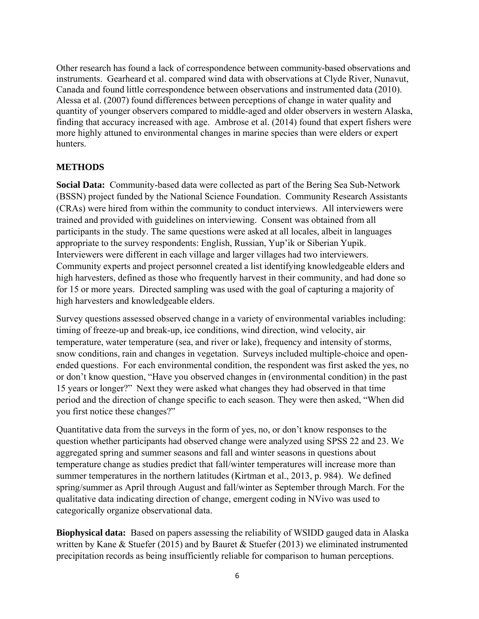Other research has found a lack of correspondence between community-based observations and instruments. Gearheard et al. compared wind data with observations at Clyde River, Nunavut, Canada and found little correspondence between observations and instrumented data (2010). Alessa et al. (2007) found differences between perceptions of change in water quality and quantity of younger observers compared to middle-aged and older observers in western Alaska, finding that accuracy increased with age. Ambrose et al. (2014) found that expert fishers were more highly attuned to environmental changes in marine species than were elders or expert hunters.

## **METHODS**

**Social Data:** Community-based data were collected as part of the Bering Sea Sub-Network (BSSN) project funded by the National Science Foundation. Community Research Assistants (CRAs) were hired from within the community to conduct interviews. All interviewers were trained and provided with guidelines on interviewing. Consent was obtained from all participants in the study. The same questions were asked at all locales, albeit in languages appropriate to the survey respondents: English, Russian, Yup'ik or Siberian Yupik. Interviewers were different in each village and larger villages had two interviewers. Community experts and project personnel created a list identifying knowledgeable elders and high harvesters, defined as those who frequently harvest in their community, and had done so for 15 or more years. Directed sampling was used with the goal of capturing a majority of high harvesters and knowledgeable elders.

Survey questions assessed observed change in a variety of environmental variables including: timing of freeze-up and break-up, ice conditions, wind direction, wind velocity, air temperature, water temperature (sea, and river or lake), frequency and intensity of storms, snow conditions, rain and changes in vegetation. Surveys included multiple-choice and openended questions. For each environmental condition, the respondent was first asked the yes, no or don't know question, "Have you observed changes in (environmental condition) in the past 15 years or longer?" Next they were asked what changes they had observed in that time period and the direction of change specific to each season. They were then asked, "When did you first notice these changes?"

Quantitative data from the surveys in the form of yes, no, or don't know responses to the question whether participants had observed change were analyzed using SPSS 22 and 23. We aggregated spring and summer seasons and fall and winter seasons in questions about temperature change as studies predict that fall/winter temperatures will increase more than summer temperatures in the northern latitudes (Kirtman et al., 2013, p. 984). We defined spring/summer as April through August and fall/winter as September through March. For the qualitative data indicating direction of change, emergent coding in NVivo was used to categorically organize observational data.

**Biophysical data:** Based on papers assessing the reliability of WSIDD gauged data in Alaska written by Kane & Stuefer (2015) and by Bauret & Stuefer (2013) we eliminated instrumented precipitation records as being insufficiently reliable for comparison to human perceptions.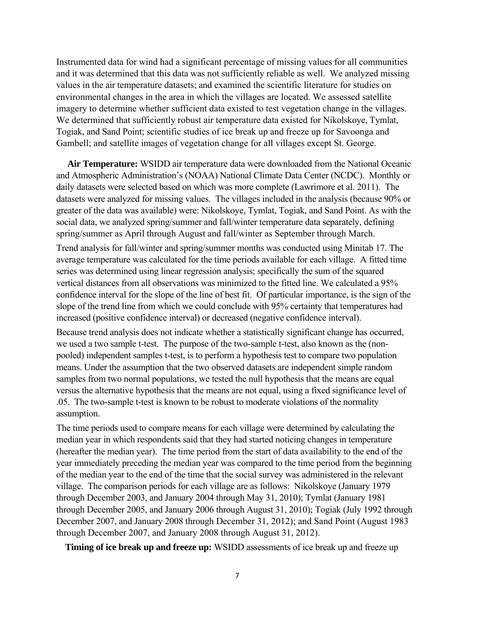Instrumented data for wind had a significant percentage of missing values for all communities and it was determined that this data was not sufficiently reliable as well. We analyzed missing values in the air temperature datasets; and examined the scientific literature for studies on environmental changes in the area in which the villages are located. We assessed satellite imagery to determine whether sufficient data existed to test vegetation change in the villages. We determined that sufficiently robust air temperature data existed for Nikolskoye, Tymlat, Togiak, and Sand Point; scientific studies of ice break up and freeze up for Savoonga and Gambell; and satellite images of vegetation change for all villages except St. George.

 **Air Temperature:** WSIDD air temperature data were downloaded from the National Oceanic and Atmospheric Administration's (NOAA) National Climate Data Center (NCDC). Monthly or daily datasets were selected based on which was more complete (Lawrimore et al. 2011). The datasets were analyzed for missing values. The villages included in the analysis (because 90% or greater of the data was available) were: Nikolskoye, Tymlat, Togiak, and Sand Point. As with the social data, we analyzed spring/summer and fall/winter temperature data separately, defining spring/summer as April through August and fall/winter as September through March. Trend analysis for fall/winter and spring/summer months was conducted using Minitab 17. The average temperature was calculated for the time periods available for each village. A fitted time series was determined using linear regression analysis; specifically the sum of the squared

vertical distances from all observations was minimized to the fitted line. We calculated a 95% confidence interval for the slope of the line of best fit. Of particular importance, is the sign of the slope of the trend line from which we could conclude with 95% certainty that temperatures had increased (positive confidence interval) or decreased (negative confidence interval).

Because trend analysis does not indicate whether a statistically significant change has occurred, we used a two sample t-test. The purpose of the two-sample t-test, also known as the (nonpooled) independent samples t-test, is to perform a hypothesis test to compare two population means. Under the assumption that the two observed datasets are independent simple random samples from two normal populations, we tested the null hypothesis that the means are equal versus the alternative hypothesis that the means are not equal, using a fixed significance level of .05. The two-sample t-test is known to be robust to moderate violations of the normality assumption.

The time periods used to compare means for each village were determined by calculating the median year in which respondents said that they had started noticing changes in temperature (hereafter the median year). The time period from the start of data availability to the end of the year immediately preceding the median year was compared to the time period from the beginning of the median year to the end of the time that the social survey was administered in the relevant village. The comparison periods for each village are as follows: Nikolskoye (January 1979 through December 2003, and January 2004 through May 31, 2010); Tymlat (January 1981 through December 2005, and January 2006 through August 31, 2010); Togiak (July 1992 through December 2007, and January 2008 through December 31, 2012); and Sand Point (August 1983 through December 2007, and January 2008 through August 31, 2012).

**Timing of ice break up and freeze up:** WSIDD assessments of ice break up and freeze up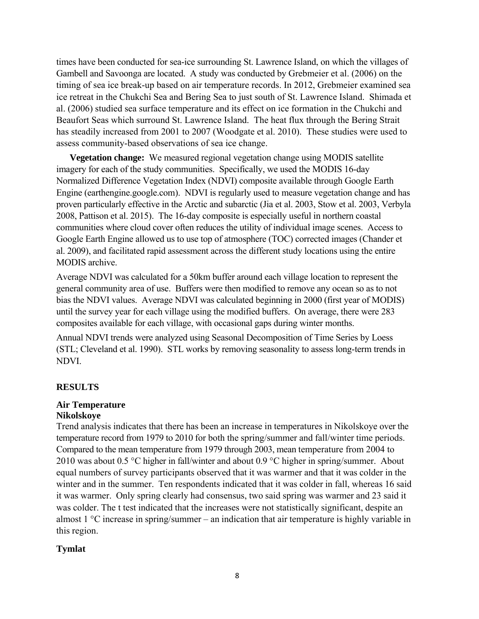times have been conducted for sea-ice surrounding St. Lawrence Island, on which the villages of Gambell and Savoonga are located. A study was conducted by Grebmeier et al. (2006) on the timing of sea ice break-up based on air temperature records. In 2012, Grebmeier examined sea ice retreat in the Chukchi Sea and Bering Sea to just south of St. Lawrence Island. Shimada et al. (2006) studied sea surface temperature and its effect on ice formation in the Chukchi and Beaufort Seas which surround St. Lawrence Island. The heat flux through the Bering Strait has steadily increased from 2001 to 2007 (Woodgate et al. 2010). These studies were used to assess community-based observations of sea ice change.

 **Vegetation change:** We measured regional vegetation change using MODIS satellite imagery for each of the study communities. Specifically, we used the MODIS 16-day Normalized Difference Vegetation Index (NDVI) composite available through Google Earth Engine (earthengine.google.com). NDVI is regularly used to measure vegetation change and has proven particularly effective in the Arctic and subarctic (Jia et al. 2003, Stow et al. 2003, Verbyla 2008, Pattison et al. 2015). The 16-day composite is especially useful in northern coastal communities where cloud cover often reduces the utility of individual image scenes. Access to Google Earth Engine allowed us to use top of atmosphere (TOC) corrected images (Chander et al. 2009), and facilitated rapid assessment across the different study locations using the entire MODIS archive.

Average NDVI was calculated for a 50km buffer around each village location to represent the general community area of use. Buffers were then modified to remove any ocean so as to not bias the NDVI values. Average NDVI was calculated beginning in 2000 (first year of MODIS) until the survey year for each village using the modified buffers. On average, there were 283 composites available for each village, with occasional gaps during winter months.

Annual NDVI trends were analyzed using Seasonal Decomposition of Time Series by Loess (STL; Cleveland et al. 1990). STL works by removing seasonality to assess long-term trends in NDVI.

## **RESULTS**

#### **Air Temperature Nikolskoye**

# Trend analysis indicates that there has been an increase in temperatures in Nikolskoye over the temperature record from 1979 to 2010 for both the spring/summer and fall/winter time periods. Compared to the mean temperature from 1979 through 2003, mean temperature from 2004 to 2010 was about 0.5 °C higher in fall/winter and about 0.9 °C higher in spring/summer. About equal numbers of survey participants observed that it was warmer and that it was colder in the winter and in the summer. Ten respondents indicated that it was colder in fall, whereas 16 said it was warmer. Only spring clearly had consensus, two said spring was warmer and 23 said it was colder. The t test indicated that the increases were not statistically significant, despite an almost 1 °C increase in spring/summer – an indication that air temperature is highly variable in this region.

## **Tymlat**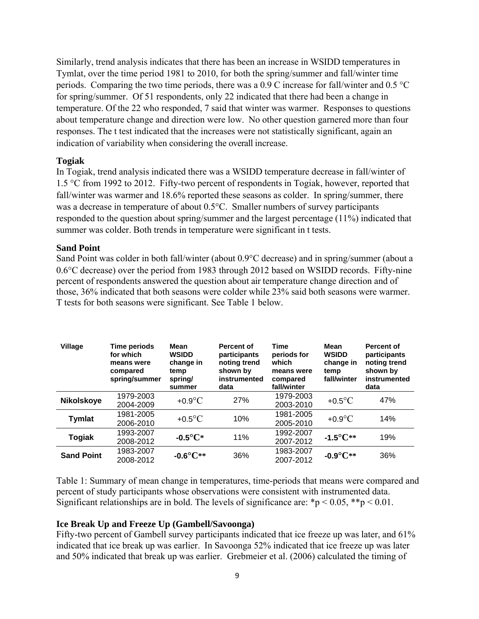Similarly, trend analysis indicates that there has been an increase in WSIDD temperatures in Tymlat, over the time period 1981 to 2010, for both the spring/summer and fall/winter time periods. Comparing the two time periods, there was a 0.9 C increase for fall/winter and 0.5 °C for spring/summer. Of 51 respondents, only 22 indicated that there had been a change in temperature. Of the 22 who responded, 7 said that winter was warmer. Responses to questions about temperature change and direction were low. No other question garnered more than four responses. The t test indicated that the increases were not statistically significant, again an indication of variability when considering the overall increase.

## **Togiak**

In Togiak, trend analysis indicated there was a WSIDD temperature decrease in fall/winter of 1.5 °C from 1992 to 2012. Fifty-two percent of respondents in Togiak, however, reported that fall/winter was warmer and 18.6% reported these seasons as colder. In spring/summer, there was a decrease in temperature of about 0.5°C. Smaller numbers of survey participants responded to the question about spring/summer and the largest percentage (11%) indicated that summer was colder. Both trends in temperature were significant in t tests.

## **Sand Point**

Sand Point was colder in both fall/winter (about 0.9°C decrease) and in spring/summer (about a 0.6°C decrease) over the period from 1983 through 2012 based on WSIDD records. Fifty-nine percent of respondents answered the question about air temperature change direction and of those, 36% indicated that both seasons were colder while 23% said both seasons were warmer. T tests for both seasons were significant. See Table 1 below.

| Village           | Time periods<br>for which<br>means were<br>compared<br>spring/summer | Mean<br><b>WSIDD</b><br>change in<br>temp<br>spring/<br>summer | Percent of<br>participants<br>noting trend<br>shown by<br>instrumented<br>data | <b>Time</b><br>periods for<br>which<br>means were<br>compared<br>fall/winter | Mean<br><b>WSIDD</b><br>change in<br>temp<br>fall/winter | Percent of<br>participants<br>noting trend<br>shown by<br>instrumented<br>data |
|-------------------|----------------------------------------------------------------------|----------------------------------------------------------------|--------------------------------------------------------------------------------|------------------------------------------------------------------------------|----------------------------------------------------------|--------------------------------------------------------------------------------|
| <b>Nikolskoye</b> | 1979-2003<br>2004-2009                                               | $+0.9$ °C                                                      | 27%                                                                            | 1979-2003<br>2003-2010                                                       | $+0.5$ °C                                                | 47%                                                                            |
| <b>Tymlat</b>     | 1981-2005<br>2006-2010                                               | $+0.5$ °C                                                      | 10%                                                                            | 1981-2005<br>2005-2010                                                       | $+0.9$ °C                                                | 14%                                                                            |
| <b>Togiak</b>     | 1993-2007<br>2008-2012                                               | $-0.5^{\circ}C^*$                                              | 11%                                                                            | 1992-2007<br>2007-2012                                                       | $-1.5^{\circ}C^{**}$                                     | 19%                                                                            |
| <b>Sand Point</b> | 1983-2007<br>2008-2012                                               | $-0.6^{\circ}C**$                                              | 36%                                                                            | 1983-2007<br>2007-2012                                                       | $-0.9^{\circ}C^{**}$                                     | 36%                                                                            |

Table 1: Summary of mean change in temperatures, time-periods that means were compared and percent of study participants whose observations were consistent with instrumented data. Significant relationships are in bold. The levels of significance are: \*p < 0.05, \*\*p < 0.01.

## **Ice Break Up and Freeze Up (Gambell/Savoonga)**

Fifty-two percent of Gambell survey participants indicated that ice freeze up was later, and 61% indicated that ice break up was earlier. In Savoonga 52% indicated that ice freeze up was later and 50% indicated that break up was earlier. Grebmeier et al. (2006) calculated the timing of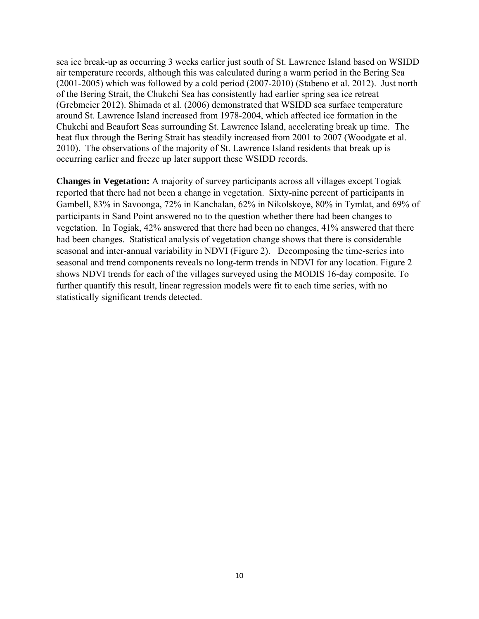sea ice break-up as occurring 3 weeks earlier just south of St. Lawrence Island based on WSIDD air temperature records, although this was calculated during a warm period in the Bering Sea (2001-2005) which was followed by a cold period (2007-2010) (Stabeno et al. 2012). Just north of the Bering Strait, the Chukchi Sea has consistently had earlier spring sea ice retreat (Grebmeier 2012). Shimada et al. (2006) demonstrated that WSIDD sea surface temperature around St. Lawrence Island increased from 1978-2004, which affected ice formation in the Chukchi and Beaufort Seas surrounding St. Lawrence Island, accelerating break up time. The heat flux through the Bering Strait has steadily increased from 2001 to 2007 (Woodgate et al. 2010). The observations of the majority of St. Lawrence Island residents that break up is occurring earlier and freeze up later support these WSIDD records.

**Changes in Vegetation:** A majority of survey participants across all villages except Togiak reported that there had not been a change in vegetation. Sixty-nine percent of participants in Gambell, 83% in Savoonga, 72% in Kanchalan, 62% in Nikolskoye, 80% in Tymlat, and 69% of participants in Sand Point answered no to the question whether there had been changes to vegetation. In Togiak, 42% answered that there had been no changes, 41% answered that there had been changes. Statistical analysis of vegetation change shows that there is considerable seasonal and inter-annual variability in NDVI (Figure 2). Decomposing the time-series into seasonal and trend components reveals no long-term trends in NDVI for any location. Figure 2 shows NDVI trends for each of the villages surveyed using the MODIS 16-day composite. To further quantify this result, linear regression models were fit to each time series, with no statistically significant trends detected.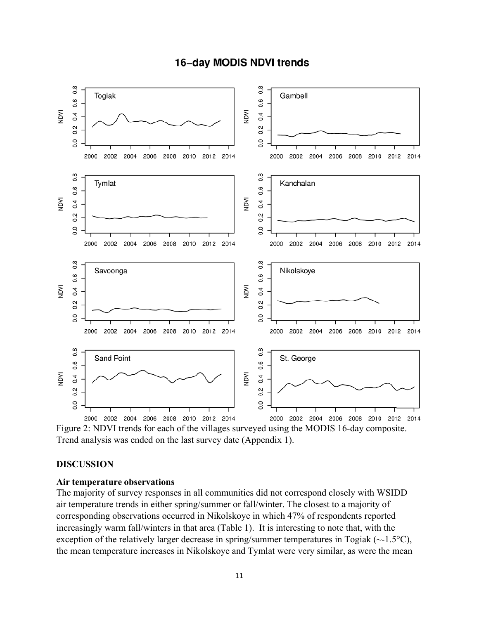

# **16-day MODIS NDVI trends**

Figure 2: NDVI trends for each of the villages surveyed using the MODIS 16-day composite. Trend analysis was ended on the last survey date (Appendix 1).

### **DISCUSSION**

### **Air temperature observations**

The majority of survey responses in all communities did not correspond closely with WSIDD air temperature trends in either spring/summer or fall/winter. The closest to a majority of corresponding observations occurred in Nikolskoye in which 47% of respondents reported increasingly warm fall/winters in that area (Table 1). It is interesting to note that, with the exception of the relatively larger decrease in spring/summer temperatures in Togiak  $(\sim 1.5^{\circ}C)$ , the mean temperature increases in Nikolskoye and Tymlat were very similar, as were the mean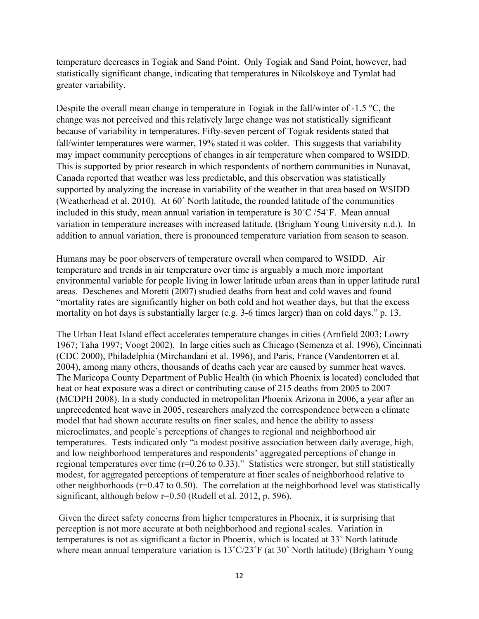temperature decreases in Togiak and Sand Point. Only Togiak and Sand Point, however, had statistically significant change, indicating that temperatures in Nikolskoye and Tymlat had greater variability.

Despite the overall mean change in temperature in Togiak in the fall/winter of -1.5 °C, the change was not perceived and this relatively large change was not statistically significant because of variability in temperatures. Fifty-seven percent of Togiak residents stated that fall/winter temperatures were warmer, 19% stated it was colder. This suggests that variability may impact community perceptions of changes in air temperature when compared to WSIDD. This is supported by prior research in which respondents of northern communities in Nunavat, Canada reported that weather was less predictable, and this observation was statistically supported by analyzing the increase in variability of the weather in that area based on WSIDD (Weatherhead et al. 2010). At 60˚ North latitude, the rounded latitude of the communities included in this study, mean annual variation in temperature is 30˚C /54˚F. Mean annual variation in temperature increases with increased latitude. (Brigham Young University n.d.). In addition to annual variation, there is pronounced temperature variation from season to season.

Humans may be poor observers of temperature overall when compared to WSIDD. Air temperature and trends in air temperature over time is arguably a much more important environmental variable for people living in lower latitude urban areas than in upper latitude rural areas. Deschenes and Moretti (2007) studied deaths from heat and cold waves and found "mortality rates are significantly higher on both cold and hot weather days, but that the excess mortality on hot days is substantially larger (e.g. 3-6 times larger) than on cold days." p. 13.

The Urban Heat Island effect accelerates temperature changes in cities (Arnfield 2003; Lowry 1967; Taha 1997; Voogt 2002). In large cities such as Chicago (Semenza et al. 1996), Cincinnati (CDC 2000), Philadelphia (Mirchandani et al. 1996), and Paris, France (Vandentorren et al. 2004), among many others, thousands of deaths each year are caused by summer heat waves. The Maricopa County Department of Public Health (in which Phoenix is located) concluded that heat or heat exposure was a direct or contributing cause of 215 deaths from 2005 to 2007 (MCDPH 2008). In a study conducted in metropolitan Phoenix Arizona in 2006, a year after an unprecedented heat wave in 2005, researchers analyzed the correspondence between a climate model that had shown accurate results on finer scales, and hence the ability to assess microclimates, and people's perceptions of changes to regional and neighborhood air temperatures. Tests indicated only "a modest positive association between daily average, high, and low neighborhood temperatures and respondents' aggregated perceptions of change in regional temperatures over time (r=0.26 to 0.33)." Statistics were stronger, but still statistically modest, for aggregated perceptions of temperature at finer scales of neighborhood relative to other neighborhoods ( $r=0.47$  to 0.50). The correlation at the neighborhood level was statistically significant, although below r=0.50 (Rudell et al. 2012, p. 596).

 Given the direct safety concerns from higher temperatures in Phoenix, it is surprising that perception is not more accurate at both neighborhood and regional scales. Variation in temperatures is not as significant a factor in Phoenix, which is located at 33˚ North latitude where mean annual temperature variation is  $13^{\circ}$ C/23°F (at 30° North latitude) (Brigham Young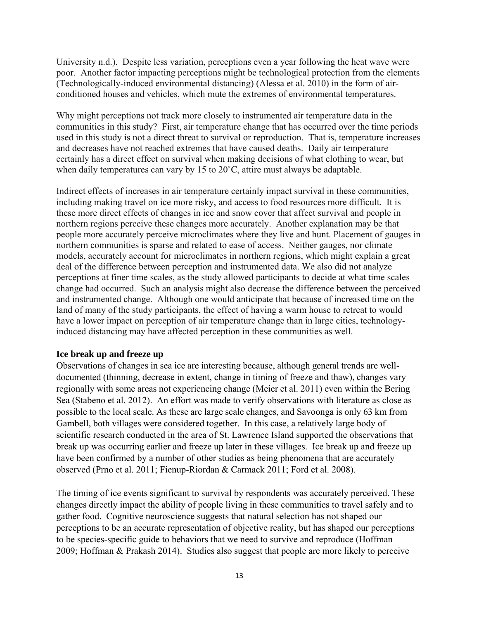University n.d.). Despite less variation, perceptions even a year following the heat wave were poor. Another factor impacting perceptions might be technological protection from the elements (Technologically-induced environmental distancing) (Alessa et al. 2010) in the form of airconditioned houses and vehicles, which mute the extremes of environmental temperatures.

Why might perceptions not track more closely to instrumented air temperature data in the communities in this study? First, air temperature change that has occurred over the time periods used in this study is not a direct threat to survival or reproduction. That is, temperature increases and decreases have not reached extremes that have caused deaths. Daily air temperature certainly has a direct effect on survival when making decisions of what clothing to wear, but when daily temperatures can vary by 15 to 20<sup>°</sup>C, attire must always be adaptable.

Indirect effects of increases in air temperature certainly impact survival in these communities, including making travel on ice more risky, and access to food resources more difficult. It is these more direct effects of changes in ice and snow cover that affect survival and people in northern regions perceive these changes more accurately. Another explanation may be that people more accurately perceive microclimates where they live and hunt. Placement of gauges in northern communities is sparse and related to ease of access. Neither gauges, nor climate models, accurately account for microclimates in northern regions, which might explain a great deal of the difference between perception and instrumented data. We also did not analyze perceptions at finer time scales, as the study allowed participants to decide at what time scales change had occurred. Such an analysis might also decrease the difference between the perceived and instrumented change. Although one would anticipate that because of increased time on the land of many of the study participants, the effect of having a warm house to retreat to would have a lower impact on perception of air temperature change than in large cities, technologyinduced distancing may have affected perception in these communities as well.

#### **Ice break up and freeze up**

Observations of changes in sea ice are interesting because, although general trends are welldocumented (thinning, decrease in extent, change in timing of freeze and thaw), changes vary regionally with some areas not experiencing change (Meier et al. 2011) even within the Bering Sea (Stabeno et al. 2012). An effort was made to verify observations with literature as close as possible to the local scale. As these are large scale changes, and Savoonga is only 63 km from Gambell, both villages were considered together. In this case, a relatively large body of scientific research conducted in the area of St. Lawrence Island supported the observations that break up was occurring earlier and freeze up later in these villages. Ice break up and freeze up have been confirmed by a number of other studies as being phenomena that are accurately observed (Prno et al. 2011; Fienup-Riordan & Carmack 2011; Ford et al. 2008).

The timing of ice events significant to survival by respondents was accurately perceived. These changes directly impact the ability of people living in these communities to travel safely and to gather food. Cognitive neuroscience suggests that natural selection has not shaped our perceptions to be an accurate representation of objective reality, but has shaped our perceptions to be species-specific guide to behaviors that we need to survive and reproduce (Hoffman 2009; Hoffman & Prakash 2014). Studies also suggest that people are more likely to perceive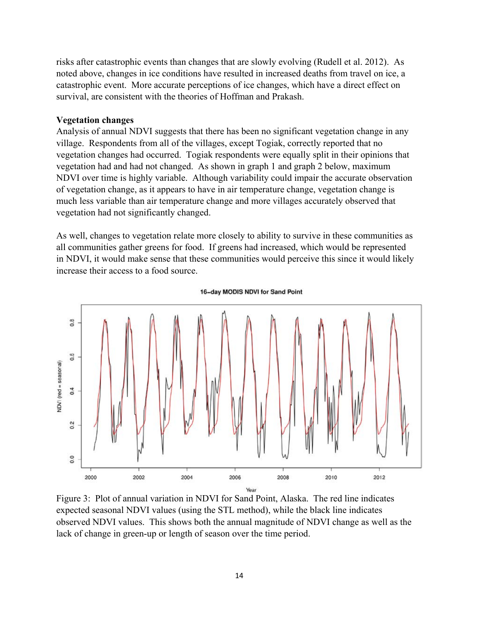risks after catastrophic events than changes that are slowly evolving (Rudell et al. 2012). As noted above, changes in ice conditions have resulted in increased deaths from travel on ice, a catastrophic event. More accurate perceptions of ice changes, which have a direct effect on survival, are consistent with the theories of Hoffman and Prakash.

#### **Vegetation changes**

Analysis of annual NDVI suggests that there has been no significant vegetation change in any village. Respondents from all of the villages, except Togiak, correctly reported that no vegetation changes had occurred. Togiak respondents were equally split in their opinions that vegetation had and had not changed. As shown in graph 1 and graph 2 below, maximum NDVI over time is highly variable. Although variability could impair the accurate observation of vegetation change, as it appears to have in air temperature change, vegetation change is much less variable than air temperature change and more villages accurately observed that vegetation had not significantly changed.

As well, changes to vegetation relate more closely to ability to survive in these communities as all communities gather greens for food. If greens had increased, which would be represented in NDVI, it would make sense that these communities would perceive this since it would likely increase their access to a food source.



16-day MODIS NDVI for Sand Point

Figure 3: Plot of annual variation in NDVI for Sand Point, Alaska. The red line indicates expected seasonal NDVI values (using the STL method), while the black line indicates observed NDVI values. This shows both the annual magnitude of NDVI change as well as the lack of change in green-up or length of season over the time period.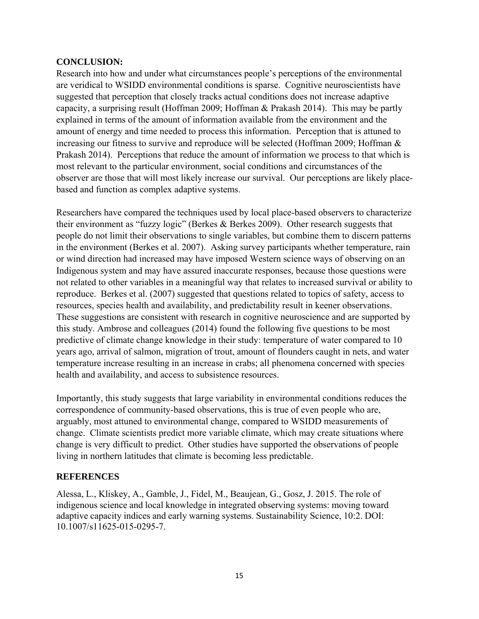## **CONCLUSION:**

Research into how and under what circumstances people's perceptions of the environmental are veridical to WSIDD environmental conditions is sparse. Cognitive neuroscientists have suggested that perception that closely tracks actual conditions does not increase adaptive capacity, a surprising result (Hoffman 2009; Hoffman & Prakash 2014). This may be partly explained in terms of the amount of information available from the environment and the amount of energy and time needed to process this information. Perception that is attuned to increasing our fitness to survive and reproduce will be selected (Hoffman 2009; Hoffman & Prakash 2014). Perceptions that reduce the amount of information we process to that which is most relevant to the particular environment, social conditions and circumstances of the observer are those that will most likely increase our survival. Our perceptions are likely placebased and function as complex adaptive systems.

Researchers have compared the techniques used by local place-based observers to characterize their environment as "fuzzy logic" (Berkes & Berkes 2009). Other research suggests that people do not limit their observations to single variables, but combine them to discern patterns in the environment (Berkes et al. 2007). Asking survey participants whether temperature, rain or wind direction had increased may have imposed Western science ways of observing on an Indigenous system and may have assured inaccurate responses, because those questions were not related to other variables in a meaningful way that relates to increased survival or ability to reproduce. Berkes et al. (2007) suggested that questions related to topics of safety, access to resources, species health and availability, and predictability result in keener observations. These suggestions are consistent with research in cognitive neuroscience and are supported by this study. Ambrose and colleagues (2014) found the following five questions to be most predictive of climate change knowledge in their study: temperature of water compared to 10 years ago, arrival of salmon, migration of trout, amount of flounders caught in nets, and water temperature increase resulting in an increase in crabs; all phenomena concerned with species health and availability, and access to subsistence resources.

Importantly, this study suggests that large variability in environmental conditions reduces the correspondence of community-based observations, this is true of even people who are, arguably, most attuned to environmental change, compared to WSIDD measurements of change. Climate scientists predict more variable climate, which may create situations where change is very difficult to predict. Other studies have supported the observations of people living in northern latitudes that climate is becoming less predictable.

## **REFERENCES**

Alessa, L., Kliskey, A., Gamble, J., Fidel, M., Beaujean, G., Gosz, J. 2015. The role of indigenous science and local knowledge in integrated observing systems: moving toward adaptive capacity indices and early warning systems. Sustainability Science, 10:2. DOI: 10.1007/s11625-015-0295-7.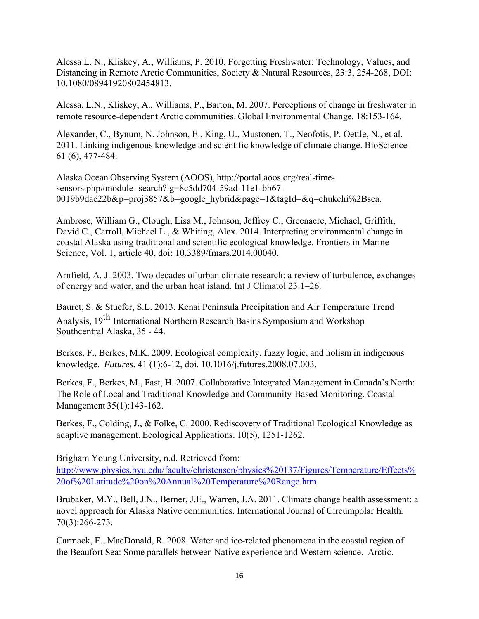Alessa L. N., Kliskey, A., Williams, P. 2010. Forgetting Freshwater: Technology, Values, and Distancing in Remote Arctic Communities, Society & Natural Resources, 23:3, 254-268, DOI: 10.1080/08941920802454813.

Alessa, L.N., Kliskey, A., Williams, P., Barton, M. 2007. Perceptions of change in freshwater in remote resource-dependent Arctic communities. Global Environmental Change*.* 18:153-164.

Alexander, C., Bynum, N. Johnson, E., King, U., Mustonen, T., Neofotis, P. Oettle, N., et al. 2011. Linking indigenous knowledge and scientific knowledge of climate change. BioScience 61 (6), 477-484.

Alaska Ocean Observing System (AOOS), [http://portal.aoos.org/real-time](http://portal.aoos.org/real-time-sensors.php#module-)[sensors.php#module-](http://portal.aoos.org/real-time-sensors.php#module-) search?lg=8c5dd704-59ad-11e1-bb67- 0019b9dae22b&p=proj3857&b=google\_hybrid&page=1&tagId=&q=chukchi%2Bsea.

Ambrose, William G., Clough, Lisa M., Johnson, Jeffrey C., Greenacre, Michael, Griffith, David C., Carroll, Michael L., & Whiting, Alex. 2014. Interpreting environmental change in coastal Alaska using traditional and scientific ecological knowledge. Frontiers in Marine Science, Vol. 1, article 40, doi: 10.3389/fmars.2014.00040.

Arnfield, A. J. 2003. Two decades of urban climate research: a review of turbulence, exchanges of energy and water, and the urban heat island. Int J Climatol 23:1–26.

Bauret, S. & Stuefer, S.L. 2013. Kenai Peninsula Precipitation and Air Temperature Trend Analysis*,* 19th International Northern Research Basins Symposium and Workshop Southcentral Alaska, 35 - 44.

Berkes, F., Berkes, M.K. 2009. Ecological complexity, fuzzy logic, and holism in indigenous knowledge. *Futures.* 41 (1):6-12, doi. 10.1016/j.futures.2008.07.003.

Berkes, F., Berkes, M., Fast, H. 2007. Collaborative Integrated Management in Canada's North: The Role of Local and Traditional Knowledge and Community-Based Monitoring. Coastal Management 35(1):143-162.

Berkes, F., Colding, J., & Folke, C. 2000. Rediscovery of Traditional Ecological Knowledge as adaptive management. Ecological Applications. 10(5), 1251-1262.

Brigham Young University, n.d. Retrieved from: [http://www.physics.byu.edu/faculty/christensen/physics%20137/Figures/Temperature/Effects%](http://www.physics.byu.edu/faculty/christensen/physics%20137/Figures/Temperature/Effects%20of%20Latitude%20on%20Annual%20Temperature%20Range.htm) [20of%20Latitude%20on%20Annual%20Temperature%20Range.htm.](http://www.physics.byu.edu/faculty/christensen/physics%20137/Figures/Temperature/Effects%20of%20Latitude%20on%20Annual%20Temperature%20Range.htm)

Brubaker, M.Y., Bell, J.N., Berner, J.E., Warren, J.A. 2011. Climate change health assessment: a novel approach for Alaska Native communities. International Journal of Circumpolar Health*.*  70(3):266-273.

Carmack, E., MacDonald, R. 2008. Water and ice-related phenomena in the coastal region of the Beaufort Sea: Some parallels between Native experience and Western science. Arctic.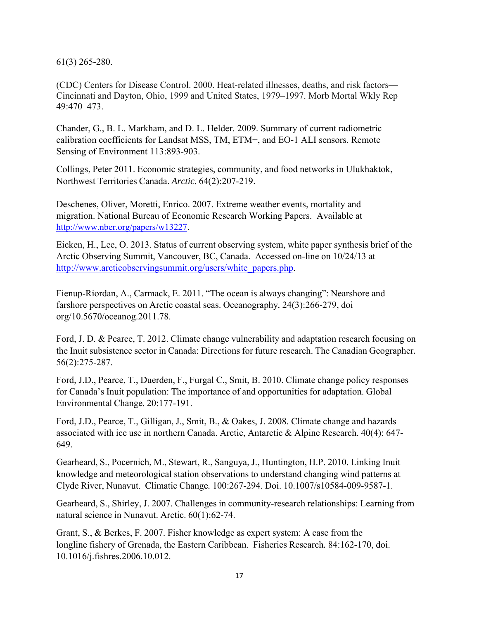61(3) 265-280.

(CDC) Centers for Disease Control. 2000. Heat-related illnesses, deaths, and risk factors— Cincinnati and Dayton, Ohio, 1999 and United States, 1979–1997. Morb Mortal Wkly Rep 49:470–473.

Chander, G., B. L. Markham, and D. L. Helder. 2009. Summary of current radiometric calibration coefficients for Landsat MSS, TM, ETM+, and EO-1 ALI sensors. Remote Sensing of Environment 113:893-903.

Collings, Peter 2011. Economic strategies, community, and food networks in Ulukhaktok, Northwest Territories Canada. *Arctic.* 64(2):207-219.

Deschenes, Oliver, Moretti, Enrico. 2007. Extreme weather events, mortality and migration. National Bureau of Economic Research Working Papers. Available at [http://www.nber.org/papers/w13227.](http://www.nber.org/papers/w13227)

Eicken, H., Lee, O. 2013. Status of current observing system, white paper synthesis brief of the Arctic Observing Summit, Vancouver, BC, Canada. Accessed on-line on 10/24/13 at [http://www.arcticobservingsummit.org/users/white\\_papers.php.](http://www.arcticobservingsummit.org/users/white_papers.php)

Fienup-Riordan, A., Carmack, E. 2011. "The ocean is always changing": Nearshore and farshore perspectives on Arctic coastal seas. Oceanography*.* 24(3):266-279, doi org/10.5670/oceanog.2011.78.

Ford, J. D. & Pearce, T. 2012. Climate change vulnerability and adaptation research focusing on the Inuit subsistence sector in Canada: Directions for future research. The Canadian Geographer*.*  56(2):275-287.

Ford, J.D., Pearce, T., Duerden, F., Furgal C., Smit, B. 2010. Climate change policy responses for Canada's Inuit population: The importance of and opportunities for adaptation. Global Environmental Change*.* 20:177-191.

Ford, J.D., Pearce, T., Gilligan, J., Smit, B., & Oakes, J. 2008. Climate change and hazards associated with ice use in northern Canada. Arctic, Antarctic & Alpine Research. 40(4): 647- 649.

Gearheard, S., Pocernich, M., Stewart, R., Sanguya, J., Huntington, H.P. 2010. Linking Inuit knowledge and meteorological station observations to understand changing wind patterns at Clyde River, Nunavut. Climatic Change*.* 100:267-294. Doi. 10.1007/s10584-009-9587-1.

Gearheard, S., Shirley, J. 2007. Challenges in community-research relationships: Learning from natural science in Nunavut. Arctic. 60(1):62-74.

Grant, S., & Berkes, F. 2007. Fisher knowledge as expert system: A case from the longline fishery of Grenada, the Eastern Caribbean. Fisheries Research*.* 84:162-170, doi. 10.1016/j.fishres.2006.10.012.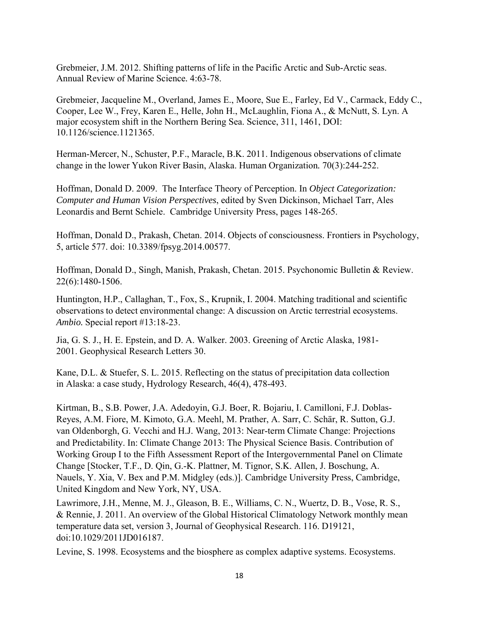Grebmeier, J.M. 2012. Shifting patterns of life in the Pacific Arctic and Sub-Arctic seas. Annual Review of Marine Science*.* 4:63-78.

Grebmeier, Jacqueline M., Overland, James E., Moore, Sue E., Farley, Ed V., Carmack, Eddy C., Cooper, Lee W., Frey, Karen E., Helle, John H., McLaughlin, Fiona A., & McNutt, S. Lyn. A major ecosystem shift in the Northern Bering Sea. Science, 311, 1461, DOI: 10.1126/science.1121365.

Herman-Mercer, N., Schuster, P.F., Maracle, B.K. 2011. Indigenous observations of climate change in the lower Yukon River Basin, Alaska. Human Organization*.* 70(3):244-252.

Hoffman, Donald D. 2009. The Interface Theory of Perception. In *Object Categorization: Computer and Human Vision Perspectives*, edited by Sven Dickinson, Michael Tarr, Ales Leonardis and Bernt Schiele. Cambridge University Press, pages 148-265.

Hoffman, Donald D., Prakash, Chetan. 2014. Objects of consciousness. Frontiers in Psychology, 5, article 577. doi: 10.3389/fpsyg.2014.00577.

Hoffman, Donald D., Singh, Manish, Prakash, Chetan. 2015. Psychonomic Bulletin & Review. 22(6):1480-1506.

Huntington, H.P., Callaghan, T., Fox, S., Krupnik, I. 2004. Matching traditional and scientific observations to detect environmental change: A discussion on Arctic terrestrial ecosystems. *Ambio.* Special report #13:18-23.

Jia, G. S. J., H. E. Epstein, and D. A. Walker. 2003. Greening of Arctic Alaska, 1981- 2001. Geophysical Research Letters 30.

Kane, D.L. & Stuefer, S. L. 2015. Reflecting on the status of precipitation data collection in Alaska: a case study, Hydrology Research, 46(4), 478-493.

Kirtman, B., S.B. Power, J.A. Adedoyin, G.J. Boer, R. Bojariu, I. Camilloni, F.J. Doblas-Reyes, A.M. Fiore, M. Kimoto, G.A. Meehl, M. Prather, A. Sarr, C. Schär, R. Sutton, G.J. van Oldenborgh, G. Vecchi and H.J. Wang, 2013: Near-term Climate Change: Projections and Predictability. In: Climate Change 2013: The Physical Science Basis. Contribution of Working Group I to the Fifth Assessment Report of the Intergovernmental Panel on Climate Change [Stocker, T.F., D. Qin, G.-K. Plattner, M. Tignor, S.K. Allen, J. Boschung, A. Nauels, Y. Xia, V. Bex and P.M. Midgley (eds.)]. Cambridge University Press, Cambridge, United Kingdom and New York, NY, USA.

Lawrimore, J.H., Menne, M. J., Gleason, B. E., Williams, C. N., Wuertz, D. B., Vose, R. S., & Rennie, J. 2011. An overview of the Global Historical Climatology Network monthly mean temperature data set, version 3, Journal of Geophysical Research. 116. D19121, doi:10.1029/2011JD016187.

Levine, S. 1998. Ecosystems and the biosphere as complex adaptive systems. Ecosystems.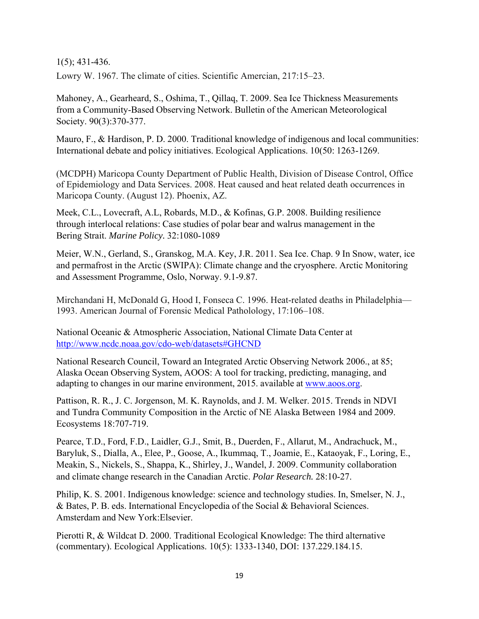1(5); 431-436.

Lowry W. 1967. The climate of cities. Scientific Amercian, 217:15–23.

Mahoney, A., Gearheard, S., Oshima, T., Qillaq, T. 2009. Sea Ice Thickness Measurements from a Community-Based Observing Network. Bulletin of the American Meteorological Society. 90(3):370-377.

Mauro, F., & Hardison, P. D. 2000. Traditional knowledge of indigenous and local communities: International debate and policy initiatives. Ecological Applications. 10(50: 1263-1269.

(MCDPH) Maricopa County Department of Public Health, Division of Disease Control, Office of Epidemiology and Data Services. 2008. Heat caused and heat related death occurrences in Maricopa County. (August 12). Phoenix, AZ.

Meek, C.L., Lovecraft, A.L, Robards, M.D., & Kofinas, G.P. 2008. Building resilience through interlocal relations: Case studies of polar bear and walrus management in the Bering Strait. *Marine Policy.* 32:1080-1089

Meier, W.N., Gerland, S., Granskog, M.A. Key, J.R. 2011. Sea Ice. Chap. 9 In Snow, water, ice and permafrost in the Arctic (SWIPA): Climate change and the cryosphere. Arctic Monitoring and Assessment Programme, Oslo, Norway. 9.1-9.87.

Mirchandani H, McDonald G, Hood I, Fonseca C. 1996. Heat-related deaths in Philadelphia— 1993. American Journal of Forensic Medical Patholology, 17:106–108.

National Oceanic & Atmospheric Association, National Climate Data Center at <http://www.ncdc.noaa.gov/cdo-web/datasets#GHCND>

National Research Council, Toward an Integrated Arctic Observing Network 2006., at 85; Alaska Ocean Observing System, AOOS: A tool for tracking, predicting, managing, and adapting to changes in our marine environment, 2015. available at [www.aoos.org.](http://www.aoos.org/)

Pattison, R. R., J. C. Jorgenson, M. K. Raynolds, and J. M. Welker. 2015. Trends in NDVI and Tundra Community Composition in the Arctic of NE Alaska Between 1984 and 2009. Ecosystems 18:707-719.

Pearce, T.D., Ford, F.D., Laidler, G.J., Smit, B., Duerden, F., Allarut, M., Andrachuck, M., Baryluk, S., Dialla, A., Elee, P., Goose, A., Ikummaq, T., Joamie, E., Kataoyak, F., Loring, E., Meakin, S., Nickels, S., Shappa, K., Shirley, J., Wandel, J. 2009. Community collaboration and climate change research in the Canadian Arctic. *Polar Research.* 28:10-27.

Philip, K. S. 2001. Indigenous knowledge: science and technology studies. In, Smelser, N. J., & Bates, P. B. eds. International Encyclopedia of the Social & Behavioral Sciences. Amsterdam and New York:Elsevier.

Pierotti R, & Wildcat D. 2000. Traditional Ecological Knowledge: The third alternative (commentary). Ecological Applications. 10(5): 1333-1340, DOI: 137.229.184.15.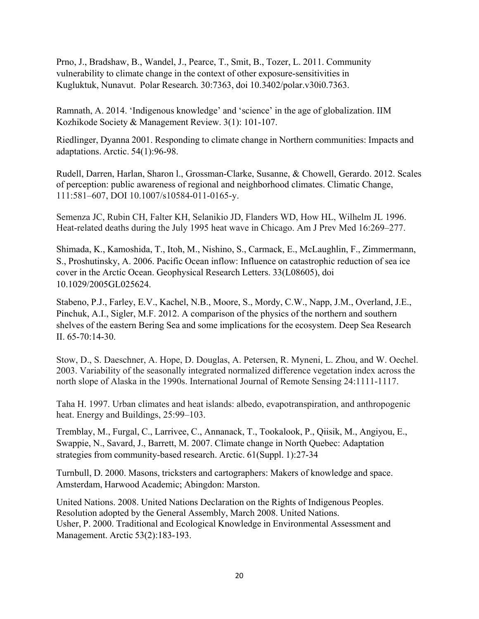Prno, J., Bradshaw, B., Wandel, J., Pearce, T., Smit, B., Tozer, L. 2011. Community vulnerability to climate change in the context of other exposure-sensitivities in Kugluktuk, Nunavut. Polar Research*.* 30:7363, doi 10.3402/polar.v30i0.7363.

Ramnath, A. 2014. 'Indigenous knowledge' and 'science' in the age of globalization. IIM Kozhikode Society & Management Review. 3(1): 101-107.

Riedlinger, Dyanna 2001. Responding to climate change in Northern communities: Impacts and adaptations. Arctic. 54(1):96-98.

Rudell, Darren, Harlan, Sharon l., Grossman-Clarke, Susanne, & Chowell, Gerardo. 2012. Scales of perception: public awareness of regional and neighborhood climates. Climatic Change, 111:581–607, DOI 10.1007/s10584-011-0165-y.

Semenza JC, Rubin CH, Falter KH, Selanikio JD, Flanders WD, How HL, Wilhelm JL 1996. Heat-related deaths during the July 1995 heat wave in Chicago. Am J Prev Med 16:269–277.

Shimada, K., Kamoshida, T., Itoh, M., Nishino, S., Carmack, E., McLaughlin, F., Zimmermann, S., Proshutinsky, A. 2006. Pacific Ocean inflow: Influence on catastrophic reduction of sea ice cover in the Arctic Ocean. Geophysical Research Letters. 33(L08605), doi 10.1029/2005GL025624.

Stabeno, P.J., Farley, E.V., Kachel, N.B., Moore, S., Mordy, C.W., Napp, J.M., Overland, J.E., Pinchuk, A.I., Sigler, M.F. 2012. A comparison of the physics of the northern and southern shelves of the eastern Bering Sea and some implications for the ecosystem. Deep Sea Research II. 65-70:14-30.

Stow, D., S. Daeschner, A. Hope, D. Douglas, A. Petersen, R. Myneni, L. Zhou, and W. Oechel. 2003. Variability of the seasonally integrated normalized difference vegetation index across the north slope of Alaska in the 1990s. International Journal of Remote Sensing 24:1111-1117.

Taha H. 1997. Urban climates and heat islands: albedo, evapotranspiration, and anthropogenic heat. Energy and Buildings, 25:99–103.

Tremblay, M., Furgal, C., Larrivee, C., Annanack, T., Tookalook, P., Qiisik, M., Angiyou, E., Swappie, N., Savard, J., Barrett, M. 2007. Climate change in North Quebec: Adaptation strategies from community-based research. Arctic. 61(Suppl. 1):27-34

Turnbull, D. 2000. Masons, tricksters and cartographers: Makers of knowledge and space. Amsterdam, Harwood Academic; Abingdon: Marston.

United Nations. 2008. United Nations Declaration on the Rights of Indigenous Peoples. Resolution adopted by the General Assembly, March 2008. United Nations. Usher, P. 2000. Traditional and Ecological Knowledge in Environmental Assessment and Management. Arctic 53(2):183-193.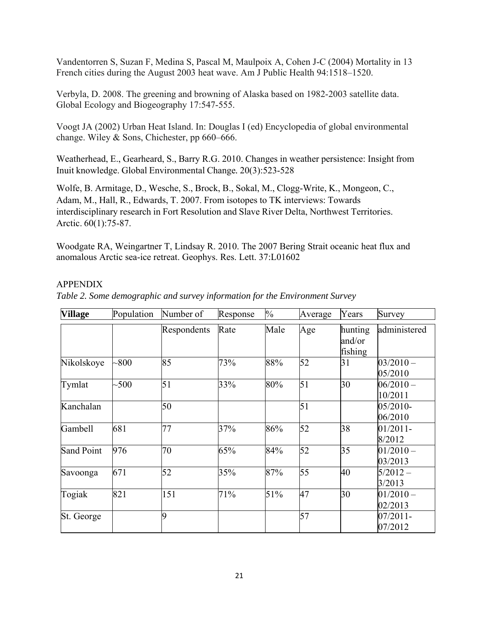Vandentorren S, Suzan F, Medina S, Pascal M, Maulpoix A, Cohen J-C (2004) Mortality in 13 French cities during the August 2003 heat wave. Am J Public Health 94:1518–1520.

Verbyla, D. 2008. The greening and browning of Alaska based on 1982-2003 satellite data. Global Ecology and Biogeography 17:547-555.

Voogt JA (2002) Urban Heat Island. In: Douglas I (ed) Encyclopedia of global environmental change. Wiley & Sons, Chichester, pp 660–666.

Weatherhead, E., Gearheard, S., Barry R.G. 2010. Changes in weather persistence: Insight from Inuit knowledge. Global Environmental Change*.* 20(3):523-528

Wolfe, B. Armitage, D., Wesche, S., Brock, B., Sokal, M., Clogg-Write, K., Mongeon, C., Adam, M., Hall, R., Edwards, T. 2007. From isotopes to TK interviews: Towards interdisciplinary research in Fort Resolution and Slave River Delta, Northwest Territories. Arctic. 60(1):75-87.

Woodgate RA, Weingartner T, Lindsay R. 2010. The 2007 Bering Strait oceanic heat flux and anomalous Arctic sea-ice retreat. Geophys. Res. Lett. 37:L01602

## APPENDIX

| <b>Village</b> | Population | Number of   | Response | $\frac{0}{0}$ | Average | Years                        | Survey                 |
|----------------|------------|-------------|----------|---------------|---------|------------------------------|------------------------|
|                |            | Respondents | Rate     | Male          | Age     | hunting<br>and/or<br>fishing | administered           |
| Nikolskoye     | $-800$     | 85          | 73%      | 88%           | 52      | 31                           | $03/2010 -$<br>05/2010 |
| Tymlat         | $-500$     | 51          | 33%      | 80%           | 51      | 30                           | $06/2010 -$<br>10/2011 |
| Kanchalan      |            | 50          |          |               | 51      |                              | $05/2010-$<br>06/2010  |
| Gambell        | 681        | 77          | 37%      | 86%           | 52      | 38                           | $01/2011$ -<br>8/2012  |
| Sand Point     | 976        | 70          | 65%      | 84%           | 52      | 35                           | $01/2010 -$<br>03/2013 |
| Savoonga       | 671        | 52          | 35%      | 87%           | 55      | 40                           | $5/2012 -$<br>3/2013   |
| Togiak         | 821        | 151         | 71%      | 51%           | 47      | 30                           | $01/2010 -$<br>02/2013 |
| St. George     |            | 9           |          |               | 57      |                              | $07/2011 -$<br>07/2012 |

*Table 2. Some demographic and survey information for the Environment Survey*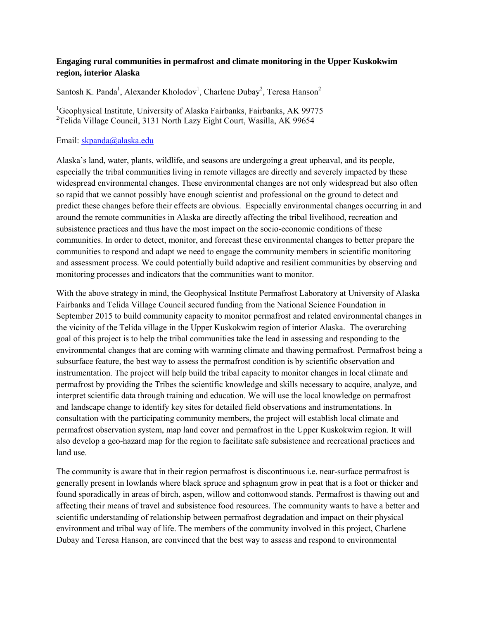### **Engaging rural communities in permafrost and climate monitoring in the Upper Kuskokwim region, interior Alaska**

Santosh K. Panda<sup>1</sup>, Alexander Kholodov<sup>1</sup>, Charlene Dubay<sup>2</sup>, Teresa Hanson<sup>2</sup>

<sup>1</sup>Geophysical Institute, University of Alaska Fairbanks, Fairbanks, AK 99775 <sup>2</sup>Telida Village Council, 3131 North Lazy Eight Court, Wasilla, AK 99654

#### Email: [skpanda@alaska.edu](mailto:skpanda@alaska.edu)

Alaska's land, water, plants, wildlife, and seasons are undergoing a great upheaval, and its people, especially the tribal communities living in remote villages are directly and severely impacted by these widespread environmental changes. These environmental changes are not only widespread but also often so rapid that we cannot possibly have enough scientist and professional on the ground to detect and predict these changes before their effects are obvious. Especially environmental changes occurring in and around the remote communities in Alaska are directly affecting the tribal livelihood, recreation and subsistence practices and thus have the most impact on the socio-economic conditions of these communities. In order to detect, monitor, and forecast these environmental changes to better prepare the communities to respond and adapt we need to engage the community members in scientific monitoring and assessment process. We could potentially build adaptive and resilient communities by observing and monitoring processes and indicators that the communities want to monitor.

With the above strategy in mind, the Geophysical Institute Permafrost Laboratory at University of Alaska Fairbanks and Telida Village Council secured funding from the National Science Foundation in September 2015 to build community capacity to monitor permafrost and related environmental changes in the vicinity of the Telida village in the Upper Kuskokwim region of interior Alaska. The overarching goal of this project is to help the tribal communities take the lead in assessing and responding to the environmental changes that are coming with warming climate and thawing permafrost. Permafrost being a subsurface feature, the best way to assess the permafrost condition is by scientific observation and instrumentation. The project will help build the tribal capacity to monitor changes in local climate and permafrost by providing the Tribes the scientific knowledge and skills necessary to acquire, analyze, and interpret scientific data through training and education. We will use the local knowledge on permafrost and landscape change to identify key sites for detailed field observations and instrumentations. In consultation with the participating community members, the project will establish local climate and permafrost observation system, map land cover and permafrost in the Upper Kuskokwim region. It will also develop a geo-hazard map for the region to facilitate safe subsistence and recreational practices and land use.

The community is aware that in their region permafrost is discontinuous i.e. near-surface permafrost is generally present in lowlands where black spruce and sphagnum grow in peat that is a foot or thicker and found sporadically in areas of birch, aspen, willow and cottonwood stands. Permafrost is thawing out and affecting their means of travel and subsistence food resources. The community wants to have a better and scientific understanding of relationship between permafrost degradation and impact on their physical environment and tribal way of life. The members of the community involved in this project, Charlene Dubay and Teresa Hanson, are convinced that the best way to assess and respond to environmental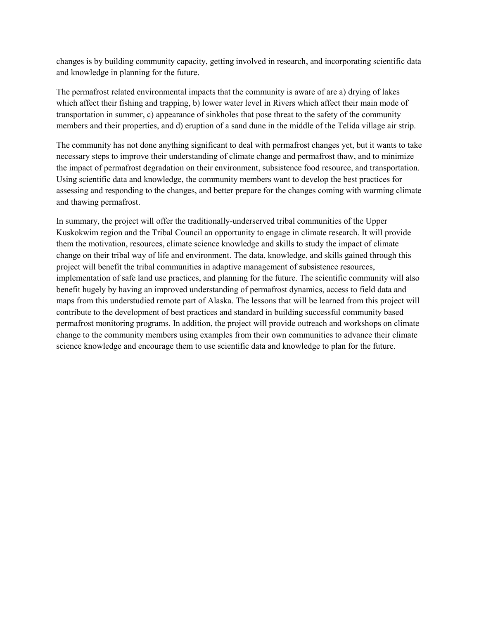changes is by building community capacity, getting involved in research, and incorporating scientific data and knowledge in planning for the future.

The permafrost related environmental impacts that the community is aware of are a) drying of lakes which affect their fishing and trapping, b) lower water level in Rivers which affect their main mode of transportation in summer, c) appearance of sinkholes that pose threat to the safety of the community members and their properties, and d) eruption of a sand dune in the middle of the Telida village air strip.

The community has not done anything significant to deal with permafrost changes yet, but it wants to take necessary steps to improve their understanding of climate change and permafrost thaw, and to minimize the impact of permafrost degradation on their environment, subsistence food resource, and transportation. Using scientific data and knowledge, the community members want to develop the best practices for assessing and responding to the changes, and better prepare for the changes coming with warming climate and thawing permafrost.

In summary, the project will offer the traditionally-underserved tribal communities of the Upper Kuskokwim region and the Tribal Council an opportunity to engage in climate research. It will provide them the motivation, resources, climate science knowledge and skills to study the impact of climate change on their tribal way of life and environment. The data, knowledge, and skills gained through this project will benefit the tribal communities in adaptive management of subsistence resources, implementation of safe land use practices, and planning for the future. The scientific community will also benefit hugely by having an improved understanding of permafrost dynamics, access to field data and maps from this understudied remote part of Alaska. The lessons that will be learned from this project will contribute to the development of best practices and standard in building successful community based permafrost monitoring programs. In addition, the project will provide outreach and workshops on climate change to the community members using examples from their own communities to advance their climate science knowledge and encourage them to use scientific data and knowledge to plan for the future.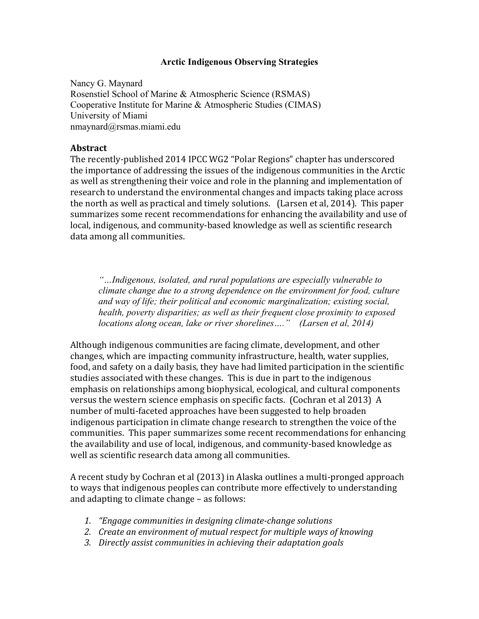### **Arctic Indigenous Observing Strategies**

Nancy G. Maynard Rosenstiel School of Marine & Atmospheric Science (RSMAS) Cooperative Institute for Marine & Atmospheric Studies (CIMAS) University of Miami nmaynard@rsmas.miami.edu

### **Abstract**

The recently-published 2014 IPCC WG2 "Polar Regions" chapter has underscored the importance of addressing the issues of the indigenous communities in the Arctic as well as strengthening their voice and role in the planning and implementation of research to understand the environmental changes and impacts taking place across the north as well as practical and timely solutions. (Larsen et al, 2014). This paper summarizes some recent recommendations for enhancing the availability and use of local, indigenous, and community-based knowledge as well as scientific research data among all communities.

*"…Indigenous, isolated, and rural populations are especially vulnerable to climate change due to a strong dependence on the environment for food, culture and way of life; their political and economic marginalization; existing social, health, poverty disparities; as well as their frequent close proximity to exposed locations along ocean, lake or river shorelines…." (Larsen et al, 2014)* 

Although indigenous communities are facing climate, development, and other changes, which are impacting community infrastructure, health, water supplies, food, and safety on a daily basis, they have had limited participation in the scientific studies associated with these changes. This is due in part to the indigenous emphasis on relationships among biophysical, ecological, and cultural components versus the western science emphasis on specific facts. (Cochran et al 2013) A number of multi-faceted approaches have been suggested to help broaden indigenous participation in climate change research to strengthen the voice of the communities. This paper summarizes some recent recommendations for enhancing the availability and use of local, indigenous, and community-based knowledge as well as scientific research data among all communities.

A recent study by Cochran et al (2013) in Alaska outlines a multi-pronged approach to ways that indigenous peoples can contribute more effectively to understanding and adapting to climate change – as follows:

- 1. *"Engage communities in designing climate-change solutions*
- 2. *Create an environment of mutual respect for multiple ways of knowing*
- 3. Directly assist communities in achieving their adaptation goals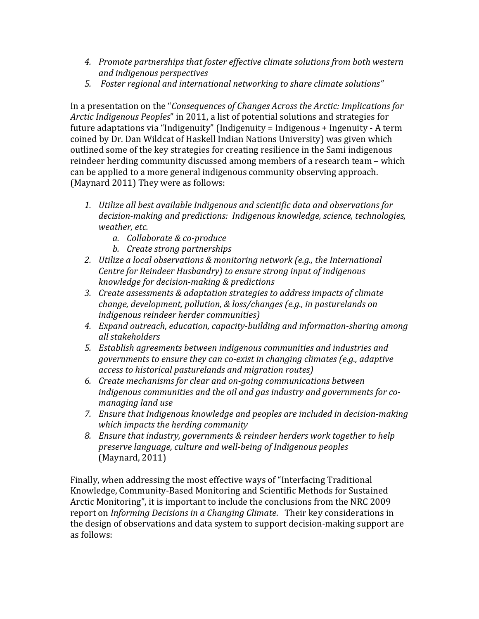- 4. Promote partnerships that foster effective climate solutions from both western *and indigenous perspectives*
- 5. Foster regional and international networking to share climate solutions"

In a presentation on the "*Consequences of Changes Across the Arctic: Implications for Arctic Indigenous Peoples*" in 2011, a list of potential solutions and strategies for future adaptations via "Indigenuity" (Indigenuity = Indigenous + Ingenuity - A term coined by Dr. Dan Wildcat of Haskell Indian Nations University) was given which outlined some of the key strategies for creating resilience in the Sami indigenous reindeer herding community discussed among members of a research team – which can be applied to a more general indigenous community observing approach. (Maynard 2011) They were as follows:

- 1. Utilize all best available Indigenous and scientific data and observations for decision-making and predictions: Indigenous knowledge, science, technologies, *weather, etc.* 
	- *a. Collaborate & co-produce*
	- *b. Create strong partnerships*
- 2. Utilize a local observations & monitoring network (e.g., the International *Centre for Reindeer Husbandry)* to ensure strong input of indigenous *knowledge for decision-making & predictions*
- 3. *Create assessments & adaptation strategies to address impacts of climate change, development, pollution, & loss/changes (e.g., in pasturelands on indigenous reindeer herder communities*)
- *4. Expand outreach, education, capacity-building and information-sharing among all stakeholders*
- *5. Establish agreements between indigenous communities and industries and governments to ensure they can co-exist in changing climates (e.g., adaptive access to historical pasturelands and migration routes)*
- *6. Create mechanisms for clear and on-going communications between*  indigenous communities and the oil and gas industry and governments for co*managing land use*
- 7. Ensure that Indigenous knowledge and peoples are included in decision-making which impacts the herding community
- 8. Ensure that industry, governments & reindeer herders work together to help preserve language, culture and well-being of Indigenous peoples (Maynard, 2011)

Finally, when addressing the most effective ways of "Interfacing Traditional Knowledge, Community-Based Monitoring and Scientific Methods for Sustained Arctic Monitoring", it is important to include the conclusions from the NRC 2009 report on *Informing Decisions in a Changing Climate*. Their key considerations in the design of observations and data system to support decision-making support are as follows: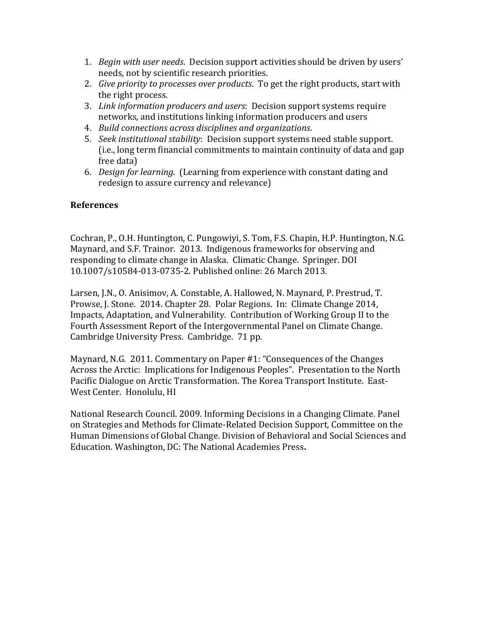- 1. *Begin with user needs*. Decision support activities should be driven by users' needs, not by scientific research priorities.
- 2. *Give priority to processes over products*. To get the right products, start with the right process.
- 3. Link information producers and users: Decision support systems require networks, and institutions linking information producers and users
- 4. *Build connections across disciplines and organizations*.
- 5. *Seek institutional stability*: Decision support systems need stable support. (i.e., long term financial commitments to maintain continuity of data and gap free data)
- 6. *Design for learning.* (Learning from experience with constant dating and redesign to assure currency and relevance)

## **References**

Cochran, P., O.H. Huntington, C. Pungowiyi, S. Tom, F.S. Chapin, H.P. Huntington, N.G. Maynard, and S.F. Trainor. 2013. Indigenous frameworks for observing and responding to climate change in Alaska. Climatic Change. Springer. DOI 10.1007/s10584-013-0735-2. Published online: 26 March 2013.

Larsen, J.N., O. Anisimov, A. Constable, A. Hallowed, N. Maynard, P. Prestrud, T. Prowse, J. Stone. 2014. Chapter 28. Polar Regions. In: Climate Change 2014, Impacts, Adaptation, and Vulnerability. Contribution of Working Group II to the Fourth Assessment Report of the Intergovernmental Panel on Climate Change. Cambridge University Press. Cambridge. 71 pp.

Maynard, N.G. 2011. Commentary on Paper #1: "Consequences of the Changes Across the Arctic: Implications for Indigenous Peoples". Presentation to the North Pacific Dialogue on Arctic Transformation. The Korea Transport Institute. East-West Center. Honolulu, HI

National Research Council. 2009. Informing Decisions in a Changing Climate. Panel on Strategies and Methods for Climate-Related Decision Support, Committee on the Human Dimensions of Global Change. Division of Behavioral and Social Sciences and Education. Washington, DC: The National Academies Press**.**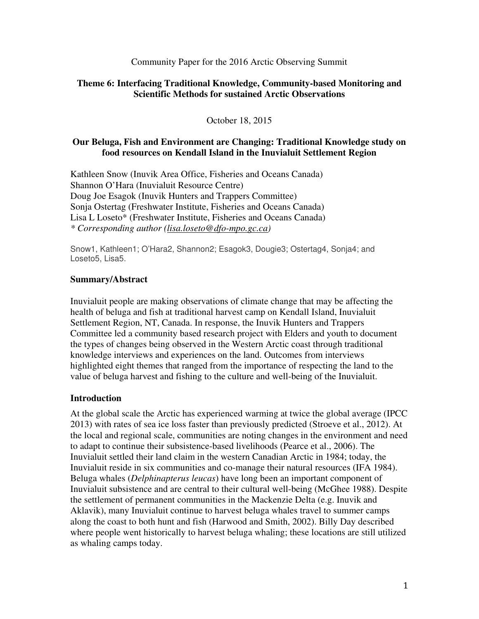Community Paper for the 2016 Arctic Observing Summit

### **Theme 6: Interfacing Traditional Knowledge, Community-based Monitoring and Scientific Methods for sustained Arctic Observations**

October 18, 2015

## **Our Beluga, Fish and Environment are Changing: Traditional Knowledge study on food resources on Kendall Island in the Inuvialuit Settlement Region**

Kathleen Snow (Inuvik Area Office, Fisheries and Oceans Canada) Shannon O'Hara (Inuvialuit Resource Centre) Doug Joe Esagok (Inuvik Hunters and Trappers Committee) Sonja Ostertag (Freshwater Institute, Fisheries and Oceans Canada) Lisa L Loseto\* (Freshwater Institute, Fisheries and Oceans Canada) *\* Corresponding author (lisa.loseto@dfo-mpo.gc.ca)* 

Snow1, Kathleen1; O'Hara2, Shannon2; Esagok3, Dougie3; Ostertag4, Sonja4; and Loseto5, Lisa5.

## **Summary/Abstract**

Inuvialuit people are making observations of climate change that may be affecting the health of beluga and fish at traditional harvest camp on Kendall Island, Inuvialuit Settlement Region, NT, Canada. In response, the Inuvik Hunters and Trappers Committee led a community based research project with Elders and youth to document the types of changes being observed in the Western Arctic coast through traditional knowledge interviews and experiences on the land. Outcomes from interviews highlighted eight themes that ranged from the importance of respecting the land to the value of beluga harvest and fishing to the culture and well-being of the Inuvialuit.

### **Introduction**

At the global scale the Arctic has experienced warming at twice the global average (IPCC 2013) with rates of sea ice loss faster than previously predicted (Stroeve et al., 2012). At the local and regional scale, communities are noting changes in the environment and need to adapt to continue their subsistence-based livelihoods (Pearce et al., 2006). The Inuvialuit settled their land claim in the western Canadian Arctic in 1984; today, the Inuvialuit reside in six communities and co-manage their natural resources (IFA 1984). Beluga whales (*Delphinapterus leucas*) have long been an important component of Inuvialuit subsistence and are central to their cultural well-being (McGhee 1988). Despite the settlement of permanent communities in the Mackenzie Delta (e.g. Inuvik and Aklavik), many Inuvialuit continue to harvest beluga whales travel to summer camps along the coast to both hunt and fish (Harwood and Smith, 2002). Billy Day described where people went historically to harvest beluga whaling; these locations are still utilized as whaling camps today.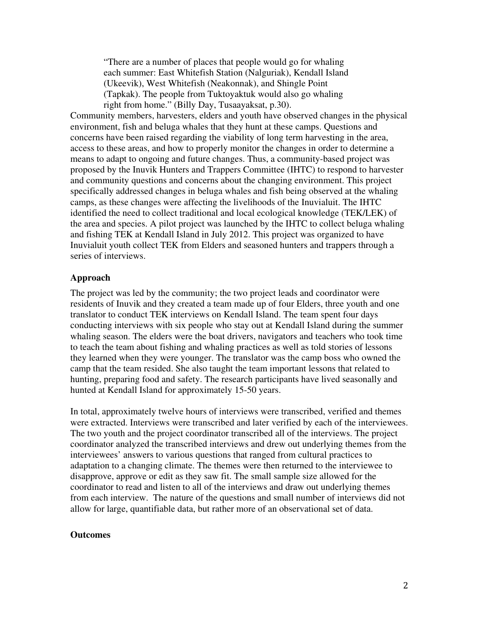"There are a number of places that people would go for whaling each summer: East Whitefish Station (Nalguriak), Kendall Island (Ukeevik), West Whitefish (Neakonnak), and Shingle Point (Tapkak). The people from Tuktoyaktuk would also go whaling right from home." (Billy Day, Tusaayaksat, p.30).

Community members, harvesters, elders and youth have observed changes in the physical environment, fish and beluga whales that they hunt at these camps. Questions and concerns have been raised regarding the viability of long term harvesting in the area, access to these areas, and how to properly monitor the changes in order to determine a means to adapt to ongoing and future changes. Thus, a community-based project was proposed by the Inuvik Hunters and Trappers Committee (IHTC) to respond to harvester and community questions and concerns about the changing environment. This project specifically addressed changes in beluga whales and fish being observed at the whaling camps, as these changes were affecting the livelihoods of the Inuvialuit. The IHTC identified the need to collect traditional and local ecological knowledge (TEK/LEK) of the area and species. A pilot project was launched by the IHTC to collect beluga whaling and fishing TEK at Kendall Island in July 2012. This project was organized to have Inuvialuit youth collect TEK from Elders and seasoned hunters and trappers through a series of interviews.

#### **Approach**

The project was led by the community; the two project leads and coordinator were residents of Inuvik and they created a team made up of four Elders, three youth and one translator to conduct TEK interviews on Kendall Island. The team spent four days conducting interviews with six people who stay out at Kendall Island during the summer whaling season. The elders were the boat drivers, navigators and teachers who took time to teach the team about fishing and whaling practices as well as told stories of lessons they learned when they were younger. The translator was the camp boss who owned the camp that the team resided. She also taught the team important lessons that related to hunting, preparing food and safety. The research participants have lived seasonally and hunted at Kendall Island for approximately 15-50 years.

In total, approximately twelve hours of interviews were transcribed, verified and themes were extracted. Interviews were transcribed and later verified by each of the interviewees. The two youth and the project coordinator transcribed all of the interviews. The project coordinator analyzed the transcribed interviews and drew out underlying themes from the interviewees' answers to various questions that ranged from cultural practices to adaptation to a changing climate. The themes were then returned to the interviewee to disapprove, approve or edit as they saw fit. The small sample size allowed for the coordinator to read and listen to all of the interviews and draw out underlying themes from each interview. The nature of the questions and small number of interviews did not allow for large, quantifiable data, but rather more of an observational set of data.

#### **Outcomes**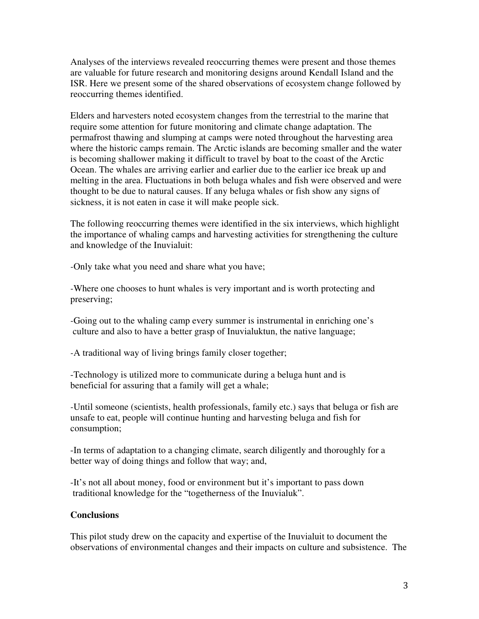Analyses of the interviews revealed reoccurring themes were present and those themes are valuable for future research and monitoring designs around Kendall Island and the ISR. Here we present some of the shared observations of ecosystem change followed by reoccurring themes identified.

Elders and harvesters noted ecosystem changes from the terrestrial to the marine that require some attention for future monitoring and climate change adaptation. The permafrost thawing and slumping at camps were noted throughout the harvesting area where the historic camps remain. The Arctic islands are becoming smaller and the water is becoming shallower making it difficult to travel by boat to the coast of the Arctic Ocean. The whales are arriving earlier and earlier due to the earlier ice break up and melting in the area. Fluctuations in both beluga whales and fish were observed and were thought to be due to natural causes. If any beluga whales or fish show any signs of sickness, it is not eaten in case it will make people sick.

The following reoccurring themes were identified in the six interviews, which highlight the importance of whaling camps and harvesting activities for strengthening the culture and knowledge of the Inuvialuit:

*-*Only take what you need and share what you have;

*-*Where one chooses to hunt whales is very important and is worth protecting and preserving;

*-*Going out to the whaling camp every summer is instrumental in enriching one's culture and also to have a better grasp of Inuvialuktun, the native language;

*-*A traditional way of living brings family closer together;

-Technology is utilized more to communicate during a beluga hunt and is beneficial for assuring that a family will get a whale;

*-*Until someone (scientists, health professionals, family etc.) says that beluga or fish are unsafe to eat, people will continue hunting and harvesting beluga and fish for consumption;

-In terms of adaptation to a changing climate, search diligently and thoroughly for a better way of doing things and follow that way; and,

-It's not all about money, food or environment but it's important to pass down traditional knowledge for the "togetherness of the Inuvialuk".

### **Conclusions**

This pilot study drew on the capacity and expertise of the Inuvialuit to document the observations of environmental changes and their impacts on culture and subsistence. The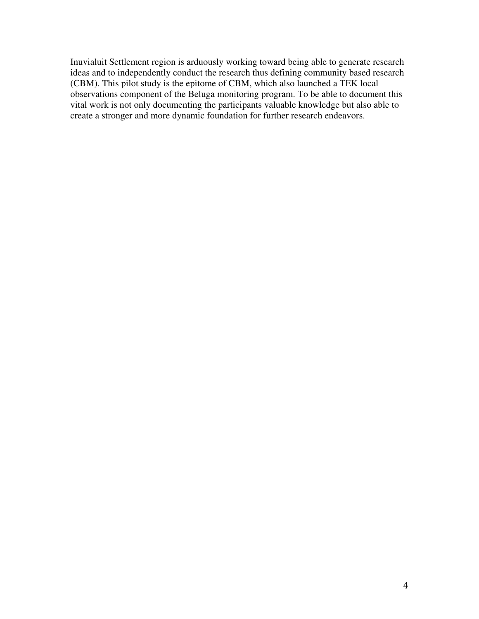Inuvialuit Settlement region is arduously working toward being able to generate research ideas and to independently conduct the research thus defining community based research (CBM). This pilot study is the epitome of CBM, which also launched a TEK local observations component of the Beluga monitoring program. To be able to document this vital work is not only documenting the participants valuable knowledge but also able to create a stronger and more dynamic foundation for further research endeavors.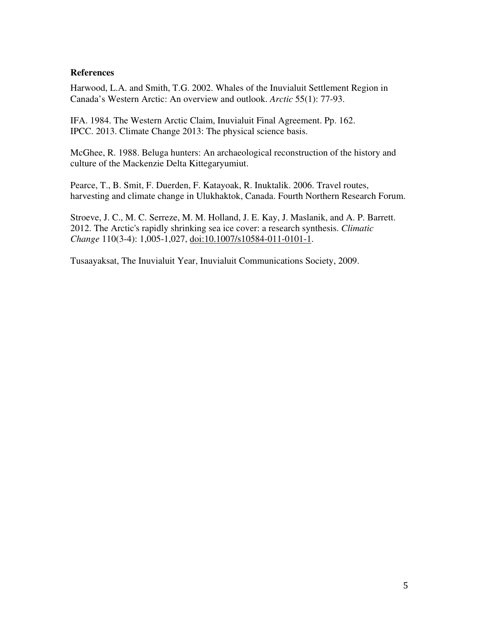### **References**

Harwood, L.A. and Smith, T.G. 2002. Whales of the Inuvialuit Settlement Region in Canada's Western Arctic: An overview and outlook. *Arctic* 55(1): 77-93.

IFA. 1984. The Western Arctic Claim, Inuvialuit Final Agreement. Pp. 162. IPCC. 2013. Climate Change 2013: The physical science basis.

McGhee, R. 1988. Beluga hunters: An archaeological reconstruction of the history and culture of the Mackenzie Delta Kittegaryumiut.

Pearce, T., B. Smit, F. Duerden, F. Katayoak, R. Inuktalik. 2006. Travel routes, harvesting and climate change in Ulukhaktok, Canada. Fourth Northern Research Forum.

Stroeve, J. C., M. C. Serreze, M. M. Holland, J. E. Kay, J. Maslanik, and A. P. Barrett. 2012. The Arctic's rapidly shrinking sea ice cover: a research synthesis. *Climatic Change* 110(3-4): 1,005-1,027, doi:10.1007/s10584-011-0101-1.

Tusaayaksat, The Inuvialuit Year, Inuvialuit Communications Society, 2009.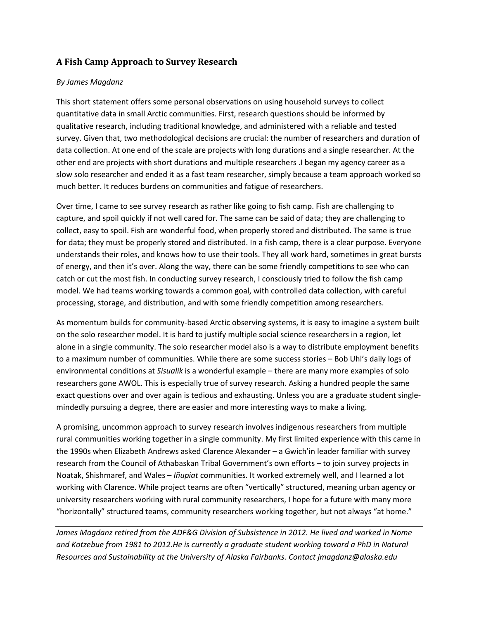## A Fish Camp Approach to Survey Research

#### By James Magdanz

This short statement offers some personal observations on using household surveys to collect quantitative data in small Arctic communities. First, research questions should be informed by qualitative research, including traditional knowledge, and administered with a reliable and tested survey. Given that, two methodological decisions are crucial: the number of researchers and duration of data collection. At one end of the scale are projects with long durations and a single researcher. At the other end are projects with short durations and multiple researchers .I began my agency career as a slow solo researcher and ended it as a fast team researcher, simply because a team approach worked so much better. It reduces burdens on communities and fatigue of researchers.

Over time, I came to see survey research as rather like going to fish camp. Fish are challenging to capture, and spoil quickly if not well cared for. The same can be said of data; they are challenging to collect, easy to spoil. Fish are wonderful food, when properly stored and distributed. The same is true for data; they must be properly stored and distributed. In a fish camp, there is a clear purpose. Everyone understands their roles, and knows how to use their tools. They all work hard, sometimes in great bursts of energy, and then it's over. Along the way, there can be some friendly competitions to see who can catch or cut the most fish. In conducting survey research, I consciously tried to follow the fish camp model. We had teams working towards a common goal, with controlled data collection, with careful processing, storage, and distribution, and with some friendly competition among researchers.

As momentum builds for community-based Arctic observing systems, it is easy to imagine a system built on the solo researcher model. It is hard to justify multiple social science researchers in a region, let alone in a single community. The solo researcher model also is a way to distribute employment benefits to a maximum number of communities. While there are some success stories – Bob Uhl's daily logs of environmental conditions at Sisualik is a wonderful example – there are many more examples of solo researchers gone AWOL. This is especially true of survey research. Asking a hundred people the same exact questions over and over again is tedious and exhausting. Unless you are a graduate student singlemindedly pursuing a degree, there are easier and more interesting ways to make a living.

A promising, uncommon approach to survey research involves indigenous researchers from multiple rural communities working together in a single community. My first limited experience with this came in the 1990s when Elizabeth Andrews asked Clarence Alexander – a Gwich'in leader familiar with survey research from the Council of Athabaskan Tribal Government's own efforts – to join survey projects in Noatak, Shishmaref, and Wales – *Iñupiat* communities. It worked extremely well, and I learned a lot working with Clarence. While project teams are often "vertically" structured, meaning urban agency or university researchers working with rural community researchers, I hope for a future with many more "horizontally" structured teams, community researchers working together, but not always "at home."

James Magdanz retired from the ADF&G Division of Subsistence in 2012. He lived and worked in Nome and Kotzebue from 1981 to 2012.He is currently a graduate student working toward a PhD in Natural Resources and Sustainability at the University of Alaska Fairbanks. Contact jmagdanz@alaska.edu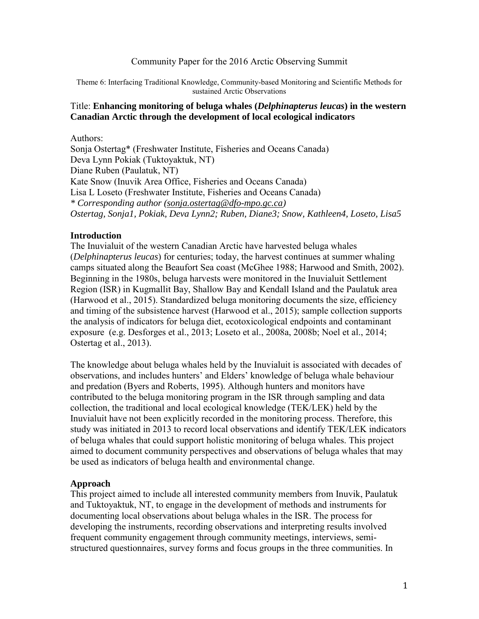### Community Paper for the 2016 Arctic Observing Summit

Theme 6: Interfacing Traditional Knowledge, Community-based Monitoring and Scientific Methods for sustained Arctic Observations

### Title: **Enhancing monitoring of beluga whales (***Delphinapterus leucas***) in the western Canadian Arctic through the development of local ecological indicators**

Authors: Sonja Ostertag\* (Freshwater Institute, Fisheries and Oceans Canada) Deva Lynn Pokiak (Tuktoyaktuk, NT) Diane Ruben (Paulatuk, NT) Kate Snow (Inuvik Area Office, Fisheries and Oceans Canada) Lisa L Loseto (Freshwater Institute, Fisheries and Oceans Canada) *\* Corresponding author (sonja.ostertag@dfo-mpo.gc.ca) Ostertag, Sonja1, Pokiak, Deva Lynn2; Ruben, Diane3; Snow, Kathleen4, Loseto, Lisa5* 

### **Introduction**

The Inuvialuit of the western Canadian Arctic have harvested beluga whales (*Delphinapterus leucas*) for centuries; today, the harvest continues at summer whaling camps situated along the Beaufort Sea coast (McGhee 1988; Harwood and Smith, 2002). Beginning in the 1980s, beluga harvests were monitored in the Inuvialuit Settlement Region (ISR) in Kugmallit Bay, Shallow Bay and Kendall Island and the Paulatuk area (Harwood et al., 2015). Standardized beluga monitoring documents the size, efficiency and timing of the subsistence harvest (Harwood et al., 2015); sample collection supports the analysis of indicators for beluga diet, ecotoxicological endpoints and contaminant exposure (e.g. Desforges et al., 2013; Loseto et al., 2008a, 2008b; Noel et al., 2014; Ostertag et al., 2013).

The knowledge about beluga whales held by the Inuvialuit is associated with decades of observations, and includes hunters' and Elders' knowledge of beluga whale behaviour and predation (Byers and Roberts, 1995). Although hunters and monitors have contributed to the beluga monitoring program in the ISR through sampling and data collection, the traditional and local ecological knowledge (TEK/LEK) held by the Inuvialuit have not been explicitly recorded in the monitoring process. Therefore, this study was initiated in 2013 to record local observations and identify TEK/LEK indicators of beluga whales that could support holistic monitoring of beluga whales. This project aimed to document community perspectives and observations of beluga whales that may be used as indicators of beluga health and environmental change.

### **Approach**

This project aimed to include all interested community members from Inuvik, Paulatuk and Tuktoyaktuk, NT, to engage in the development of methods and instruments for documenting local observations about beluga whales in the ISR. The process for developing the instruments, recording observations and interpreting results involved frequent community engagement through community meetings, interviews, semistructured questionnaires, survey forms and focus groups in the three communities. In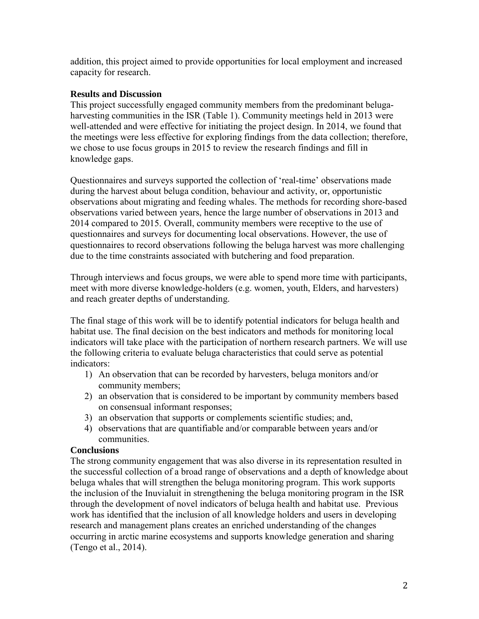addition, this project aimed to provide opportunities for local employment and increased capacity for research.

## **Results and Discussion**

This project successfully engaged community members from the predominant belugaharvesting communities in the ISR (Table 1). Community meetings held in 2013 were well-attended and were effective for initiating the project design. In 2014, we found that the meetings were less effective for exploring findings from the data collection; therefore, we chose to use focus groups in 2015 to review the research findings and fill in knowledge gaps.

Questionnaires and surveys supported the collection of 'real-time' observations made during the harvest about beluga condition, behaviour and activity, or, opportunistic observations about migrating and feeding whales. The methods for recording shore-based observations varied between years, hence the large number of observations in 2013 and 2014 compared to 2015. Overall, community members were receptive to the use of questionnaires and surveys for documenting local observations. However, the use of questionnaires to record observations following the beluga harvest was more challenging due to the time constraints associated with butchering and food preparation.

Through interviews and focus groups, we were able to spend more time with participants, meet with more diverse knowledge-holders (e.g. women, youth, Elders, and harvesters) and reach greater depths of understanding.

The final stage of this work will be to identify potential indicators for beluga health and habitat use. The final decision on the best indicators and methods for monitoring local indicators will take place with the participation of northern research partners. We will use the following criteria to evaluate beluga characteristics that could serve as potential indicators:

- 1) An observation that can be recorded by harvesters, beluga monitors and/or community members;
- 2) an observation that is considered to be important by community members based on consensual informant responses;
- 3) an observation that supports or complements scientific studies; and,
- 4) observations that are quantifiable and/or comparable between years and/or communities.

### **Conclusions**

The strong community engagement that was also diverse in its representation resulted in the successful collection of a broad range of observations and a depth of knowledge about beluga whales that will strengthen the beluga monitoring program. This work supports the inclusion of the Inuvialuit in strengthening the beluga monitoring program in the ISR through the development of novel indicators of beluga health and habitat use. Previous work has identified that the inclusion of all knowledge holders and users in developing research and management plans creates an enriched understanding of the changes occurring in arctic marine ecosystems and supports knowledge generation and sharing (Tengo et al., 2014).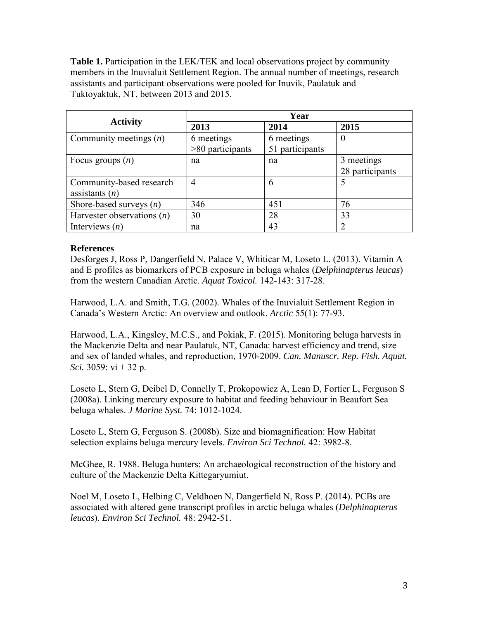**Table 1.** Participation in the LEK/TEK and local observations project by community members in the Inuvialuit Settlement Region. The annual number of meetings, research assistants and participant observations were pooled for Inuvik, Paulatuk and Tuktoyaktuk, NT, between 2013 and 2015.

|                              | Year               |                 |                             |  |  |
|------------------------------|--------------------|-----------------|-----------------------------|--|--|
| <b>Activity</b>              | 2013               | 2014            | 2015                        |  |  |
| Community meetings $(n)$     | 6 meetings         | 6 meetings      | $\theta$                    |  |  |
|                              | $>80$ participants | 51 participants |                             |  |  |
| Focus groups $(n)$           | na                 | na              | 3 meetings                  |  |  |
|                              |                    |                 | 28 participants             |  |  |
| Community-based research     | 4                  | 6               | 5                           |  |  |
| assistants $(n)$             |                    |                 |                             |  |  |
| Shore-based surveys $(n)$    | 346                | 451             | 76                          |  |  |
| Harvester observations $(n)$ | 30                 | 28              | 33                          |  |  |
| Interviews $(n)$             | na                 | 43              | $\mathcal{D}_{\mathcal{A}}$ |  |  |

## **References**

Desforges J, Ross P, Dangerfield N, Palace V, Whiticar M, Loseto L. (2013). Vitamin A and E profiles as biomarkers of PCB exposure in beluga whales (*Delphinapterus leucas*) from the western Canadian Arctic. *Aquat Toxicol.* 142-143: 317-28.

Harwood, L.A. and Smith, T.G. (2002). Whales of the Inuvialuit Settlement Region in Canada's Western Arctic: An overview and outlook. *Arctic* 55(1): 77-93.

Harwood, L.A., Kingsley, M.C.S., and Pokiak, F. (2015). Monitoring beluga harvests in the Mackenzie Delta and near Paulatuk, NT, Canada: harvest efficiency and trend, size and sex of landed whales, and reproduction, 1970-2009. *Can. Manuscr. Rep. Fish. Aquat. Sci.* 3059: vi + 32 p.

Loseto L, Stern G, Deibel D, Connelly T, Prokopowicz A, Lean D, Fortier L, Ferguson S (2008a). Linking mercury exposure to habitat and feeding behaviour in Beaufort Sea beluga whales. *J Marine Syst.* 74: 1012-1024.

Loseto L, Stern G, Ferguson S. (2008b). Size and biomagnification: How Habitat selection explains beluga mercury levels. *Environ Sci Technol.* 42: 3982-8.

McGhee, R. 1988. Beluga hunters: An archaeological reconstruction of the history and culture of the Mackenzie Delta Kittegaryumiut.

Noel M, Loseto L, Helbing C, Veldhoen N, Dangerfield N, Ross P. (2014). PCBs are associated with altered gene transcript profiles in arctic beluga whales (*Delphinapterus leucas*). *Environ Sci Technol.* 48: 2942-51.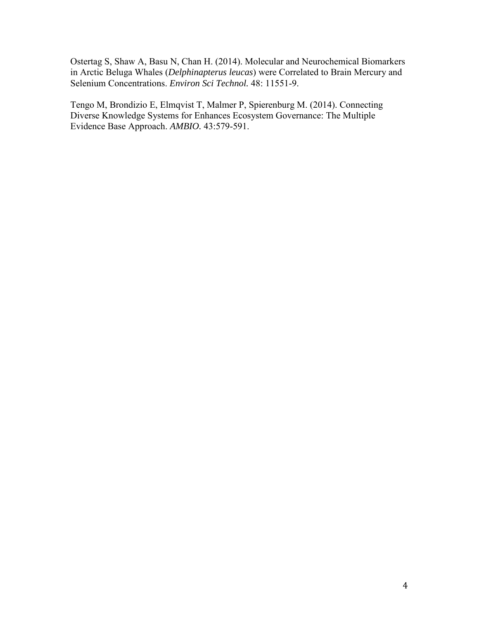Ostertag S, Shaw A, Basu N, Chan H. (2014). Molecular and Neurochemical Biomarkers in Arctic Beluga Whales (*Delphinapterus leucas*) were Correlated to Brain Mercury and Selenium Concentrations. *Environ Sci Technol.* 48: 11551-9.

Tengo M, Brondizio E, Elmqvist T, Malmer P, Spierenburg M. (2014). Connecting Diverse Knowledge Systems for Enhances Ecosystem Governance: The Multiple Evidence Base Approach. *AMBIO.* 43:579-591.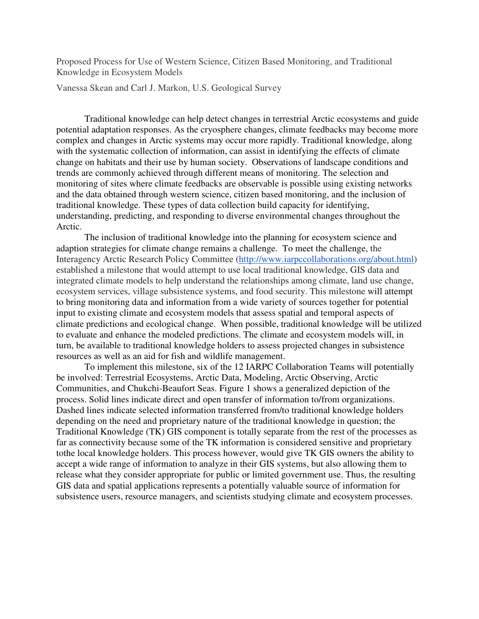Proposed Process for Use of Western Science, Citizen Based Monitoring, and Traditional Knowledge in Ecosystem Models

Vanessa Skean and Carl J. Markon, U.S. Geological Survey

Traditional knowledge can help detect changes in terrestrial Arctic ecosystems and guide potential adaptation responses. As the cryosphere changes, climate feedbacks may become more complex and changes in Arctic systems may occur more rapidly. Traditional knowledge, along with the systematic collection of information, can assist in identifying the effects of climate change on habitats and their use by human society. Observations of landscape conditions and trends are commonly achieved through different means of monitoring. The selection and monitoring of sites where climate feedbacks are observable is possible using existing networks and the data obtained through western science, citizen based monitoring, and the inclusion of traditional knowledge. These types of data collection build capacity for identifying, understanding, predicting, and responding to diverse environmental changes throughout the Arctic.

The inclusion of traditional knowledge into the planning for ecosystem science and adaption strategies for climate change remains a challenge. To meet the challenge, the Interagency Arctic Research Policy Committee (http://www.iarpccollaborations.org/about.html) established a milestone that would attempt to use local traditional knowledge, GIS data and integrated climate models to help understand the relationships among climate, land use change, ecosystem services, village subsistence systems, and food security. This milestone will attempt to bring monitoring data and information from a wide variety of sources together for potential input to existing climate and ecosystem models that assess spatial and temporal aspects of climate predictions and ecological change. When possible, traditional knowledge will be utilized to evaluate and enhance the modeled predictions. The climate and ecosystem models will, in turn, be available to traditional knowledge holders to assess projected changes in subsistence resources as well as an aid for fish and wildlife management.

To implement this milestone, six of the 12 IARPC Collaboration Teams will potentially be involved: Terrestrial Ecosystems, Arctic Data, Modeling, Arctic Observing, Arctic Communities, and Chukchi-Beaufort Seas. Figure 1 shows a generalized depiction of the process. Solid lines indicate direct and open transfer of information to/from organizations. Dashed lines indicate selected information transferred from/to traditional knowledge holders depending on the need and proprietary nature of the traditional knowledge in question; the Traditional Knowledge (TK) GIS component is totally separate from the rest of the processes as far as connectivity because some of the TK information is considered sensitive and proprietary tothe local knowledge holders. This process however, would give TK GIS owners the ability to accept a wide range of information to analyze in their GIS systems, but also allowing them to release what they consider appropriate for public or limited government use. Thus, the resulting GIS data and spatial applications represents a potentially valuable source of information for subsistence users, resource managers, and scientists studying climate and ecosystem processes.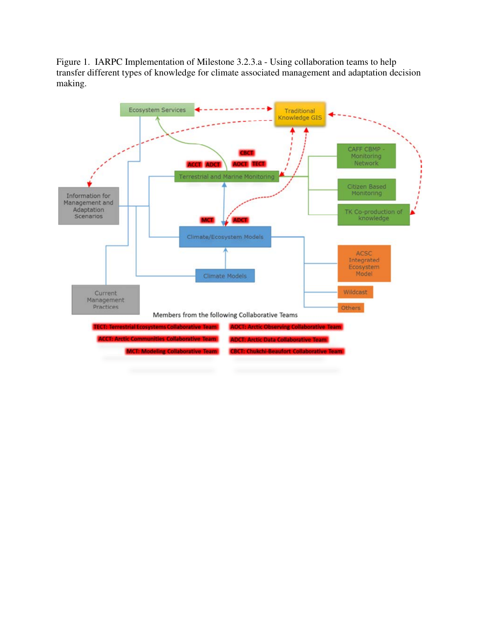Figure 1. IARPC Implementation of Milestone 3.2.3.a - Using collaboration teams to help transfer different types of knowledge for climate associated management and adaptation decision making.

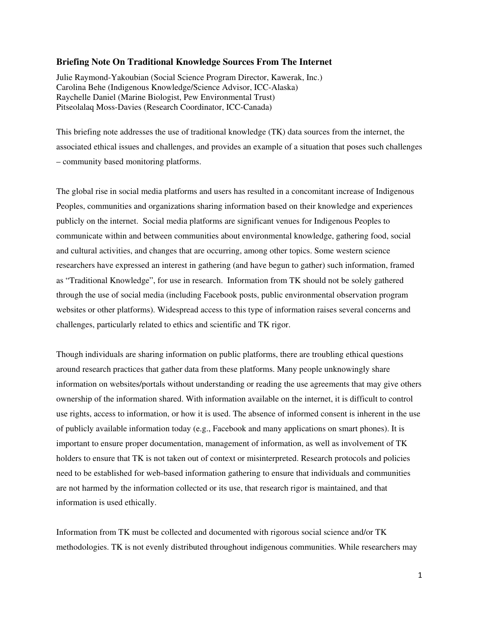#### **Briefing Note On Traditional Knowledge Sources From The Internet**

Julie Raymond-Yakoubian (Social Science Program Director, Kawerak, Inc.) Carolina Behe (Indigenous Knowledge/Science Advisor, ICC-Alaska) Raychelle Daniel (Marine Biologist, Pew Environmental Trust) Pitseolalaq Moss-Davies (Research Coordinator, ICC-Canada)

This briefing note addresses the use of traditional knowledge (TK) data sources from the internet, the associated ethical issues and challenges, and provides an example of a situation that poses such challenges – community based monitoring platforms.

The global rise in social media platforms and users has resulted in a concomitant increase of Indigenous Peoples, communities and organizations sharing information based on their knowledge and experiences publicly on the internet. Social media platforms are significant venues for Indigenous Peoples to communicate within and between communities about environmental knowledge, gathering food, social and cultural activities, and changes that are occurring, among other topics. Some western science researchers have expressed an interest in gathering (and have begun to gather) such information, framed as "Traditional Knowledge", for use in research. Information from TK should not be solely gathered through the use of social media (including Facebook posts, public environmental observation program websites or other platforms). Widespread access to this type of information raises several concerns and challenges, particularly related to ethics and scientific and TK rigor.

Though individuals are sharing information on public platforms, there are troubling ethical questions around research practices that gather data from these platforms. Many people unknowingly share information on websites/portals without understanding or reading the use agreements that may give others ownership of the information shared. With information available on the internet, it is difficult to control use rights, access to information, or how it is used. The absence of informed consent is inherent in the use of publicly available information today (e.g., Facebook and many applications on smart phones). It is important to ensure proper documentation, management of information, as well as involvement of TK holders to ensure that TK is not taken out of context or misinterpreted. Research protocols and policies need to be established for web-based information gathering to ensure that individuals and communities are not harmed by the information collected or its use, that research rigor is maintained, and that information is used ethically.

Information from TK must be collected and documented with rigorous social science and/or TK methodologies. TK is not evenly distributed throughout indigenous communities. While researchers may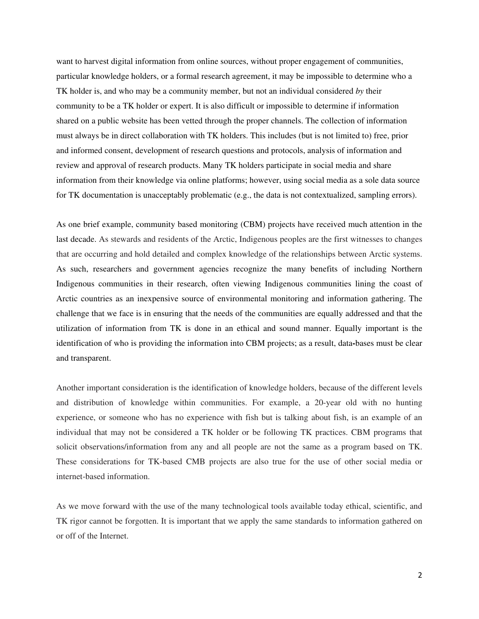want to harvest digital information from online sources, without proper engagement of communities, particular knowledge holders, or a formal research agreement, it may be impossible to determine who a TK holder is, and who may be a community member, but not an individual considered *by* their community to be a TK holder or expert. It is also difficult or impossible to determine if information shared on a public website has been vetted through the proper channels. The collection of information must always be in direct collaboration with TK holders. This includes (but is not limited to) free, prior and informed consent, development of research questions and protocols, analysis of information and review and approval of research products. Many TK holders participate in social media and share information from their knowledge via online platforms; however, using social media as a sole data source for TK documentation is unacceptably problematic (e.g., the data is not contextualized, sampling errors).

As one brief example, community based monitoring (CBM) projects have received much attention in the last decade. As stewards and residents of the Arctic, Indigenous peoples are the first witnesses to changes that are occurring and hold detailed and complex knowledge of the relationships between Arctic systems. As such, researchers and government agencies recognize the many benefits of including Northern Indigenous communities in their research, often viewing Indigenous communities lining the coast of Arctic countries as an inexpensive source of environmental monitoring and information gathering. The challenge that we face is in ensuring that the needs of the communities are equally addressed and that the utilization of information from TK is done in an ethical and sound manner. Equally important is the identification of who is providing the information into CBM projects; as a result, data**-**bases must be clear and transparent.

Another important consideration is the identification of knowledge holders, because of the different levels and distribution of knowledge within communities. For example, a 20-year old with no hunting experience, or someone who has no experience with fish but is talking about fish, is an example of an individual that may not be considered a TK holder or be following TK practices. CBM programs that solicit observations/information from any and all people are not the same as a program based on TK. These considerations for TK-based CMB projects are also true for the use of other social media or internet-based information.

As we move forward with the use of the many technological tools available today ethical, scientific, and TK rigor cannot be forgotten. It is important that we apply the same standards to information gathered on or off of the Internet.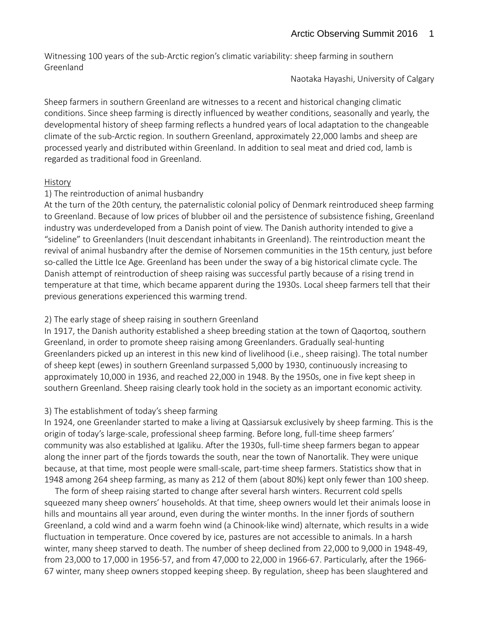Witnessing 100 years of the sub-Arctic region's climatic variability: sheep farming in southern Greenland

Naotaka Hayashi, University of Calgary

Sheep farmers in southern Greenland are witnesses to a recent and historical changing climatic conditions. Since sheep farming is directly influenced by weather conditions, seasonally and yearly, the developmental history of sheep farming reflects a hundred years of local adaptation to the changeable climate of the sub-Arctic region. In southern Greenland, approximately 22,000 lambs and sheep are processed yearly and distributed within Greenland. In addition to seal meat and dried cod, lamb is regarded as traditional food in Greenland.

# History

# 1) The reintroduction of animal husbandry

At the turn of the 20th century, the paternalistic colonial policy of Denmark reintroduced sheep farming to Greenland. Because of low prices of blubber oil and the persistence of subsistence fishing, Greenland industry was underdeveloped from a Danish point of view. The Danish authority intended to give a "sideline" to Greenlanders (Inuit descendant inhabitants in Greenland). The reintroduction meant the revival of animal husbandry after the demise of Norsemen communities in the 15th century, just before so-called the Little Ice Age. Greenland has been under the sway of a big historical climate cycle. The Danish attempt of reintroduction of sheep raising was successful partly because of a rising trend in temperature at that time, which became apparent during the 1930s. Local sheep farmers tell that their previous generations experienced this warming trend.

# 2) The early stage of sheep raising in southern Greenland

In 1917, the Danish authority established a sheep breeding station at the town of Qaqortoq, southern Greenland, in order to promote sheep raising among Greenlanders. Gradually seal-hunting Greenlanders picked up an interest in this new kind of livelihood (i.e., sheep raising). The total number of sheep kept (ewes) in southern Greenland surpassed 5,000 by 1930, continuously increasing to approximately 10,000 in 1936, and reached 22,000 in 1948. By the 1950s, one in five kept sheep in southern Greenland. Sheep raising clearly took hold in the society as an important economic activity.

# 3) The establishment of today's sheep farming

In 1924, one Greenlander started to make a living at Qassiarsuk exclusively by sheep farming. This is the origin of today's large-scale, professional sheep farming. Before long, full-time sheep farmers' community was also established at Igaliku. After the 1930s, full-time sheep farmers began to appear along the inner part of the fjords towards the south, near the town of Nanortalik. They were unique because, at that time, most people were small-scale, part-time sheep farmers. Statistics show that in 1948 among 264 sheep farming, as many as 212 of them (about 80%) kept only fewer than 100 sheep.

 The form of sheep raising started to change after several harsh winters. Recurrent cold spells squeezed many sheep owners' households. At that time, sheep owners would let their animals loose in hills and mountains all year around, even during the winter months. In the inner fjords of southern Greenland, a cold wind and a warm foehn wind (a Chinook-like wind) alternate, which results in a wide fluctuation in temperature. Once covered by ice, pastures are not accessible to animals. In a harsh winter, many sheep starved to death. The number of sheep declined from 22,000 to 9,000 in 1948-49, from 23,000 to 17,000 in 1956-57, and from 47,000 to 22,000 in 1966-67. Particularly, after the 1966- 67 winter, many sheep owners stopped keeping sheep. By regulation, sheep has been slaughtered and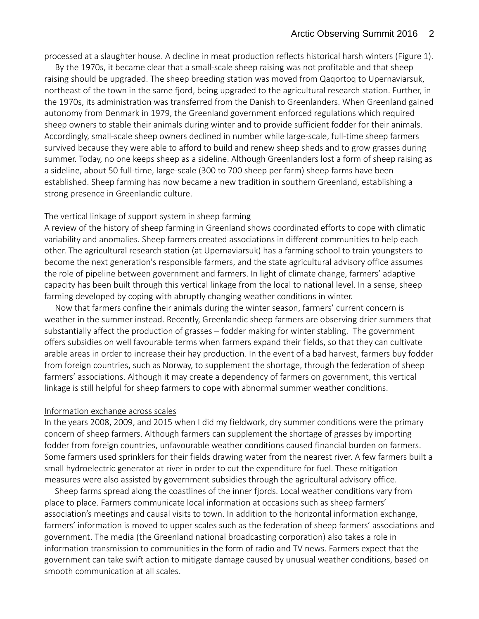processed at a slaughter house. A decline in meat production reflects historical harsh winters (Figure 1).

 By the 1970s, it became clear that a small-scale sheep raising was not profitable and that sheep raising should be upgraded. The sheep breeding station was moved from Qaqortoq to Upernaviarsuk, northeast of the town in the same fjord, being upgraded to the agricultural research station. Further, in the 1970s, its administration was transferred from the Danish to Greenlanders. When Greenland gained autonomy from Denmark in 1979, the Greenland government enforced regulations which required sheep owners to stable their animals during winter and to provide sufficient fodder for their animals. Accordingly, small-scale sheep owners declined in number while large-scale, full-time sheep farmers survived because they were able to afford to build and renew sheep sheds and to grow grasses during summer. Today, no one keeps sheep as a sideline. Although Greenlanders lost a form of sheep raising as a sideline, about 50 full-time, large-scale (300 to 700 sheep per farm) sheep farms have been established. Sheep farming has now became a new tradition in southern Greenland, establishing a strong presence in Greenlandic culture.

### The vertical linkage of support system in sheep farming

A review of the history of sheep farming in Greenland shows coordinated efforts to cope with climatic variability and anomalies. Sheep farmers created associations in different communities to help each other. The agricultural research station (at Upernaviarsuk) has a farming school to train youngsters to become the next generation's responsible farmers, and the state agricultural advisory office assumes the role of pipeline between government and farmers. In light of climate change, farmers' adaptive capacity has been built through this vertical linkage from the local to national level. In a sense, sheep farming developed by coping with abruptly changing weather conditions in winter.

 Now that farmers confine their animals during the winter season, farmers' current concern is weather in the summer instead. Recently, Greenlandic sheep farmers are observing drier summers that substantially affect the production of grasses – fodder making for winter stabling. The government offers subsidies on well favourable terms when farmers expand their fields, so that they can cultivate arable areas in order to increase their hay production. In the event of a bad harvest, farmers buy fodder from foreign countries, such as Norway, to supplement the shortage, through the federation of sheep farmers' associations. Although it may create a dependency of farmers on government, this vertical linkage is still helpful for sheep farmers to cope with abnormal summer weather conditions.

#### Information exchange across scales

In the years 2008, 2009, and 2015 when I did my fieldwork, dry summer conditions were the primary concern of sheep farmers. Although farmers can supplement the shortage of grasses by importing fodder from foreign countries, unfavourable weather conditions caused financial burden on farmers. Some farmers used sprinklers for their fields drawing water from the nearest river. A few farmers built a small hydroelectric generator at river in order to cut the expenditure for fuel. These mitigation measures were also assisted by government subsidies through the agricultural advisory office.

 Sheep farms spread along the coastlines of the inner fjords. Local weather conditions vary from place to place. Farmers communicate local information at occasions such as sheep farmers' association's meetings and causal visits to town. In addition to the horizontal information exchange, farmers' information is moved to upper scales such as the federation of sheep farmers' associations and government. The media (the Greenland national broadcasting corporation) also takes a role in information transmission to communities in the form of radio and TV news. Farmers expect that the government can take swift action to mitigate damage caused by unusual weather conditions, based on smooth communication at all scales.